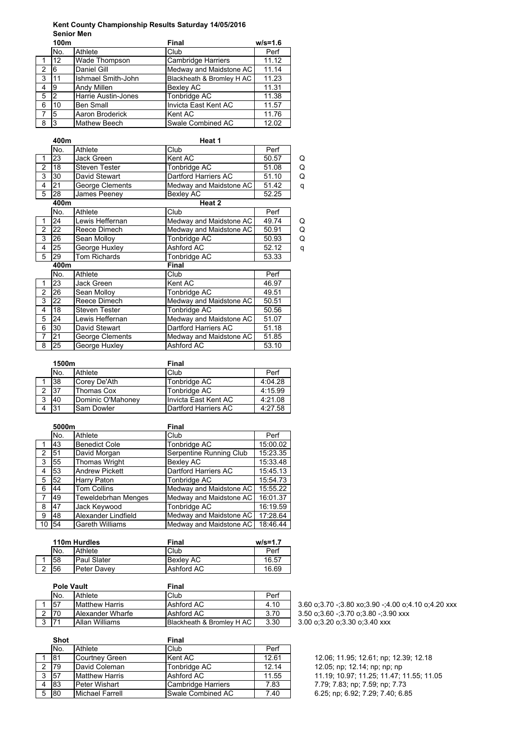## **Kent County Championship Results Saturday 14/05/2016** Senior Men<sup>100</sup>

|              | 100m |                            | Final                     | $w/s = 1.6$ |
|--------------|------|----------------------------|---------------------------|-------------|
|              | No.  | Athlete                    | Club                      | Perf        |
|              | 12   | Wade Thompson              | <b>Cambridge Harriers</b> | 11.12       |
| 2            | 6    | Daniel Gill                | Medway and Maidstone AC   | 11.14       |
| $\mathbf{3}$ | 11   | Ishmael Smith-John         | Blackheath & Bromley H AC | 11.23       |
| 4            | 9    | <b>Andy Millen</b>         | <b>Bexley AC</b>          | 11.31       |
| 5            | 2    | <b>Harrie Austin-Jones</b> | Tonbridge AC              | 11.38       |
| 6            | 10   | <b>Ben Small</b>           | Invicta East Kent AC      | 11.57       |
| 7            | 5    | Aaron Broderick            | Kent AC                   | 11.76       |
| 8            | 3    | <b>Mathew Beech</b>        | Swale Combined AC         | 12.02       |
|              |      |                            |                           |             |

|                | 400m |                      | Heat 1                  |       |   |
|----------------|------|----------------------|-------------------------|-------|---|
|                | No.  | Athlete              | Club                    | Perf  |   |
| 1              | 23   | <b>Jack Green</b>    | Kent AC                 | 50.57 | Q |
| $\overline{2}$ | 18   | <b>Steven Tester</b> | Tonbridge AC            | 51.08 | Q |
| 3              | 30   | David Stewart        | Dartford Harriers AC    | 51.10 | Q |
| 4              | 21   | George Clements      | Medway and Maidstone AC | 51.42 | q |
| 5              | 28   | James Peeney         | <b>Bexley AC</b>        | 52.25 |   |
|                | 400m |                      | Heat 2                  |       |   |
|                | No.  | Athlete              | Club                    | Perf  |   |
| 1              | 24   | Lewis Heffernan      | Medway and Maidstone AC | 49.74 | Q |
| $\overline{2}$ | 22   | Reece Dimech         | Medway and Maidstone AC | 50.91 | Q |
| 3              | 26   | Sean Molloy          | Tonbridge AC            | 50.93 | Q |
| 4              | 25   | George Huxley        | Ashford AC              | 52.12 | q |
| 5              | 29   | <b>Tom Richards</b>  | Tonbridge AC            | 53.33 |   |
|                | 400m |                      | Final                   |       |   |
|                | No.  | Athlete              | Club                    | Perf  |   |
| 1              | 23   | Jack Green           | Kent AC                 | 46.97 |   |
| $\overline{2}$ | 26   | Sean Molloy          | Tonbridge AC            | 49.51 |   |
| 3              | 22   | Reece Dimech         | Medway and Maidstone AC | 50.51 |   |
| 4              | 18   | <b>Steven Tester</b> | Tonbridge AC            | 50.56 |   |
| 5              | 24   | Lewis Heffernan      | Medway and Maidstone AC | 51.07 |   |
| 6              | 30   | David Stewart        | Dartford Harriers AC    | 51.18 |   |
| $\overline{7}$ | 21   | George Clements      | Medway and Maidstone AC | 51.85 |   |
| 8              | 25   | George Huxley        | Ashford AC              | 53.10 |   |

|   | 1500m |                   | Final                |         |
|---|-------|-------------------|----------------------|---------|
|   | No.   | Athlete           | Club                 | Perf    |
|   | 38    | Corey De'Ath      | Tonbridge AC         | 4:04.28 |
|   | 37    | <b>Thomas Cox</b> | Tonbridge AC         | 4:15.99 |
| ঽ | 40    | Dominic O'Mahoney | Invicta East Kent AC | 4:21.08 |
|   | 31    | Sam Dowler        | Dartford Harriers AC | 4:27.58 |

|    | 5000m |                        | Final                   |          |  |
|----|-------|------------------------|-------------------------|----------|--|
|    | No.   | Athlete                | Club                    | Perf     |  |
|    | 43    | <b>Benedict Cole</b>   | Tonbridge AC            | 15:00.02 |  |
| 2  | 51    | David Morgan           | Serpentine Running Club | 15:23.35 |  |
| 3  | 55    | Thomas Wright          | <b>Bexley AC</b>        | 15:33.48 |  |
| 4  | 53    | <b>Andrew Pickett</b>  | Dartford Harriers AC    | 15:45.13 |  |
| 5  | 52    | Harry Paton            | Tonbridge AC            | 15:54.73 |  |
| 6  | 44    | <b>Tom Collins</b>     | Medway and Maidstone AC | 15:55.22 |  |
|    | 49    | Teweldebrhan Menges    | Medway and Maidstone AC | 16:01.37 |  |
| 8  | 47    | Jack Keywood           | Tonbridge AC            | 16:19.59 |  |
| 9  | 48    | Alexander Lindfield    | Medway and Maidstone AC | 17:28.64 |  |
| 10 | 54    | <b>Gareth Williams</b> | Medway and Maidstone AC | 18:46.44 |  |

| 110m Hurdles |                    | Final            | $w/s = 1.7$ |
|--------------|--------------------|------------------|-------------|
| No.          | Athlete            | Club             | Perf        |
| 58           | <b>Paul Slater</b> | <b>Bexley AC</b> | 16.57       |
| 56           | <b>Peter Davev</b> | Ashford AC       | 16.69       |

| <b>Pole Vault</b> |                         | Final                     |      |                                               |
|-------------------|-------------------------|---------------------------|------|-----------------------------------------------|
| No.               | Athlete                 | Club                      | Perf |                                               |
| 57                | <b>Matthew Harris</b>   | Ashford AC                | 4.10 | $3.60$ o: $3.70$ -: $3.80$ xo: $3.90$ -: $4.$ |
| 170               | <b>Alexander Wharfe</b> | Ashford AC                | 3.70 | 3.50 o:3.60 -:3.70 o:3.80 -:3.9               |
| 171               | Allan Williams          | Blackheath & Bromley H AC | 3.30 | 3.00 o:3.20 o:3.30 o:3.40 xxx                 |

|   | <b>Shot</b> |                        | Final              |       |                                  |
|---|-------------|------------------------|--------------------|-------|----------------------------------|
|   | No.         | Athlete                | Club               | Perf  |                                  |
|   | 181         | Courtney Green         | Kent AC            | 12.61 | 12.06; 11.95; 12.61; np; 12.39;  |
|   | 179         | David Coleman          | Tonbridge AC       | 12.14 | 12.05; np; 12.14; np; np; np     |
|   | <b>57</b>   | <b>Matthew Harris</b>  | Ashford AC         | 11.55 | 11.19; 10.97; 11.25; 11.47; 11.  |
|   | 83          | Peter Wishart          | Cambridge Harriers | 7.83  | 7.79; 7.83; np; 7.59; np; 7.73   |
| 5 | 80          | <b>Michael Farrell</b> | Swale Combined AC  | 7.40  | 6.25; np; 6.92; 7.29; 7.40; 6.85 |
|   |             |                        |                    |       |                                  |

1 57 Matthew Harris Ashford AC 4.10 3.60 o;3.70 -;3.80 xo;3.90 -;4.00 o;4.10 o;4.20 xxx 3.50 o;3.60 -;3.70 o;3.80 -;3.90 xxx

> 12.06; 11.95; 12.61; np; 12.39; 12.18 12.05; np; 12.14; np; np; np 11.19; 10.97; 11.25; 11.47; 11.55; 11.05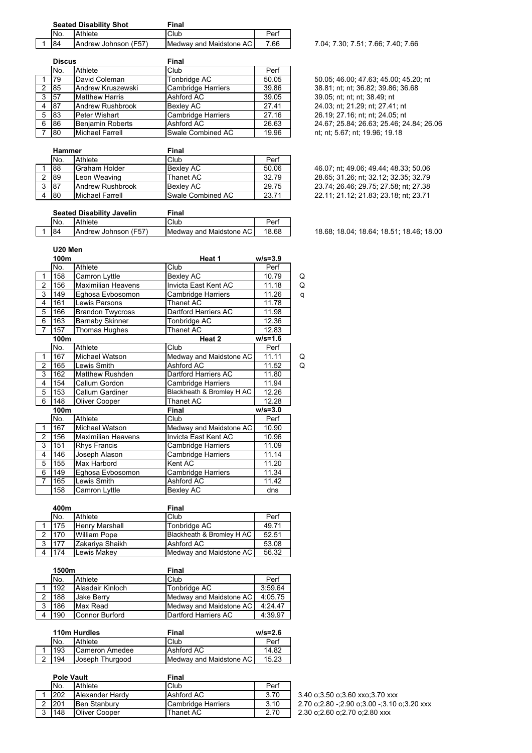| <b>Seated Disability Shot</b> |     |                      | Final                   |      |
|-------------------------------|-----|----------------------|-------------------------|------|
|                               | No. | <b>Athlete</b>       | Club                    | Perf |
|                               | 84  | Andrew Johnson (F57) | Medway and Maidstone AC | 7 66 |

|   | <b>Discus</b> |                        | <b>Final</b>              |       |  |
|---|---------------|------------------------|---------------------------|-------|--|
|   | No.           | Athlete                | Club                      | Perf  |  |
|   | 79            | David Coleman          | Tonbridge AC              | 50.05 |  |
| 2 | 85            | Andrew Kruszewski      | Cambridge Harriers        | 39.86 |  |
| 3 | 57            | <b>Matthew Harris</b>  | Ashford AC                | 39.05 |  |
| 4 | 87            | Andrew Rushbrook       | Bexley AC                 | 27.41 |  |
| 5 | 83            | Peter Wishart          | <b>Cambridge Harriers</b> | 27.16 |  |
| 6 | 86            | Benjamin Roberts       | Ashford AC                | 26.63 |  |
|   | 180           | <b>Michael Farrell</b> | Swale Combined AC         | 19.96 |  |

| Hammer |                  | Final             |       |
|--------|------------------|-------------------|-------|
| No.    | Athlete          | Club              | Perf  |
| 88     | Graham Holder    | <b>Bexley AC</b>  | 50.06 |
| 89     | Leon Weaving     | Thanet AC         | 32.79 |
| 87     | Andrew Rushbrook | <b>Bexlev AC</b>  | 29.75 |
| -80    | Michael Farrell  | Swale Combined AC | 2371  |

7.04; 7.30; 7.51; 7.66; 7.40; 7.66

50.05; 46.00; 47.63; 45.00; 45.20; nt 38.81; nt; nt; 36.82; 39.86; 36.68 39.05; nt; nt; nt; 38.49; nt 24.03; nt; 21.29; nt; 27.41; nt 26.19; 27.16; nt; nt; 24.05; nt 24 67; 25.84; 26.63; 25.46; 24.84; 26.06 nt; nt; 5.67; nt; 19.96; 19.18

46.07; nt; 49.06; 49.44; 48.33; 50.06 28.65; 31.26; nt; 32.12; 32.35; 32.79 23.74; 26.46; 29.75; 27.58; nt; 27.38 22.11; 21.12; 21.83; 23.18; nt; 23.71

|  | <b>Seated Disability Javelin</b> |                      | <b>Final</b>            |       |                                          |
|--|----------------------------------|----------------------|-------------------------|-------|------------------------------------------|
|  | IN <sub>o</sub>                  | Athlete              | Club                    | Pen   |                                          |
|  | <b>84</b>                        | Andrew Johnson (F57) | Medway and Maidstone AC | 18.68 | 18.68; 18.04; 18.64; 18.51; 18.46; 18.00 |

|                | 100m |                           | Heat 1                    | $w/s = 3.9$ |   |
|----------------|------|---------------------------|---------------------------|-------------|---|
|                | No.  | Athlete                   | Club                      | Perf        |   |
| 1              | 158  | Camron Lyttle             | <b>Bexley AC</b>          | 10.79       | Q |
| $\overline{2}$ | 156  | <b>Maximilian Heavens</b> | Invicta East Kent AC      | 11.18       | Q |
| 3              | 149  | Eghosa Evbosomon          | Cambridge Harriers        | 11.26       | q |
| 4              | 161  | Lewis Parsons             | Thanet AC                 | 11.78       |   |
| 5              | 166  | <b>Brandon Twycross</b>   | Dartford Harriers AC      | 11.98       |   |
| 6              | 163  | <b>Barnaby Skinner</b>    | Tonbridge AC              | 12.36       |   |
| 7              | 157  | Thomas Hughes             | Thanet AC                 | 12.83       |   |
|                | 100m |                           | Heat 2                    | $w/s = 1.6$ |   |
|                | No.  | Athlete                   | Club                      | Perf        |   |
| 1              | 167  | Michael Watson            | Medway and Maidstone AC   | 11.11       | Q |
| $\overline{2}$ | 165  | Lewis Smith               | Ashford AC                | 11.52       | Q |
| 3              | 162  | <b>Matthew Rushden</b>    | Dartford Harriers AC      | 11.80       |   |
| 4              | 154  | Callum Gordon             | Cambridge Harriers        | 11.94       |   |
| 5              | 153  | Callum Gardiner           | Blackheath & Bromley H AC | 12.26       |   |
| 6              | 148  | Oliver Cooper             | Thanet AC                 | 12.28       |   |
|                | 100m |                           | Final                     | $w/s = 3.0$ |   |
|                | No.  | Athlete                   | Club                      | Perf        |   |
| 1              | 167  | Michael Watson            | Medway and Maidstone AC   | 10.90       |   |
| $\overline{2}$ | 156  | <b>Maximilian Heavens</b> | Invicta East Kent AC      | 10.96       |   |
| 3              | 151  | Rhys Francis              | Cambridge Harriers        | 11.09       |   |
| 4              | 146  | Joseph Alason             | Cambridge Harriers        | 11.14       |   |
| 5              | 155  | Max Harbord               | Kent AC                   | 11.20       |   |
| 6              | 149  | Eghosa Evbosomon          | Cambridge Harriers        | 11.34       |   |
| 7              | 165  | Lewis Smith               | Ashford AC                | 11.42       |   |
|                | 158  | Camron Lyttle             | <b>Bexley AC</b>          | dns         |   |
|                |      |                           |                           |             |   |

| 400m |                 | <b>Final</b>              |       |
|------|-----------------|---------------------------|-------|
| No.  | Athlete         | Club                      | Perf  |
| 175  | Henry Marshall  | Tonbridge AC              | 49.71 |
| 170  | William Pope    | Blackheath & Bromley H AC | 52.51 |
| 177  | Zakariya Shaikh | Ashford AC                | 53.08 |
| 174  | Lewis Makev     | Medway and Maidstone AC   | 56.32 |

|   | 1500m |                   | Final                   |           |
|---|-------|-------------------|-------------------------|-----------|
|   | No.   | Athlete           | Club                    | Perf      |
|   | 192   | Alasdair Kinloch  | Tonbridge AC            | 3:59.64   |
|   | 188   | <b>Jake Berrv</b> | Medway and Maidstone AC | 4:05.75   |
| 3 | 186   | Max Read          | Medway and Maidstone AC | $4.24$ 47 |
|   | 190   | Connor Burford    | Dartford Harriers AC    | 4:39.97   |

|   | 110m Hurdles |                 | Final                   | $w/s = 2.6$ |
|---|--------------|-----------------|-------------------------|-------------|
|   | No.          | Athlete         | Club                    | Perf        |
|   | 193          | Cameron Amedee  | Ashford AC              | 14.82       |
| 2 | 194          | Joseph Thurgood | Medway and Maidstone AC | 15.23       |

| <b>Pole Vault</b> |                      | Final              |      |                                 |  |
|-------------------|----------------------|--------------------|------|---------------------------------|--|
| No.               | Athlete              | Club               | Perf |                                 |  |
| 202               | Alexander Hardy      | Ashford AC         | 3.70 | 3.40 o:3.50 o:3.60 xxo:3.70 xx  |  |
| 1201              | Ben Stanbury         | Cambridge Harriers | 3.10 | 2.70 o:2.80 -:2.90 o:3.00 -:3.1 |  |
| 148               | <b>Oliver Cooper</b> | Thanet AC          | 2.70 | 2.30 o:2.60 o:2.70 o:2.80 xxx   |  |

3.40 o;3.50 o;3.60 xxo;3.70 xxx 2.70 o;2.80 -;2.90 o;3.00 -;3.10 o;3.20 xxx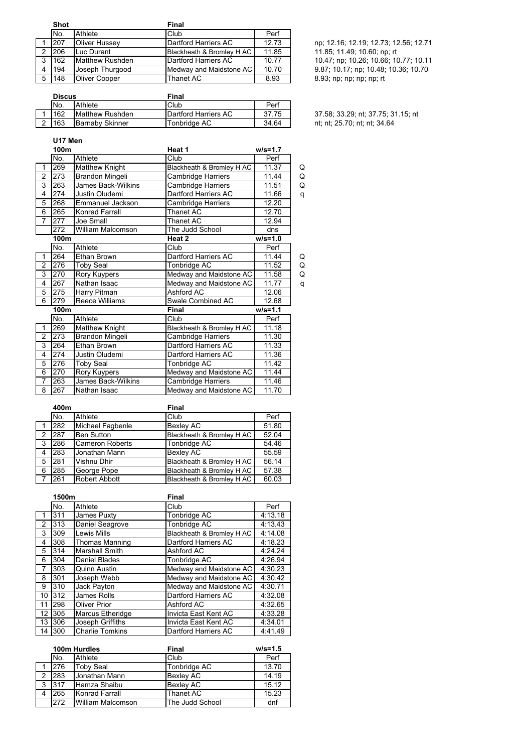|   | <b>Shot</b> |                      | Final                        |       |                                       |
|---|-------------|----------------------|------------------------------|-------|---------------------------------------|
|   | No.         | Athlete              | Club                         | Perf  |                                       |
|   | 207         | <b>Oliver Hussey</b> | <b>IDartford Harriers AC</b> | 12.73 | np; 12.16; 12.19; 12.73; 12.56; 12.71 |
|   | 206         | Luc Durant           | Blackheath & Bromley H AC    | 11.85 | 11.85; 11.49; 10.60; np; rt           |
|   | 1162        | Matthew Rushden      | Dartford Harriers AC         | 10.77 | 10.47; np; 10.26; 10.66; 10.77; 10.11 |
|   | 194         | Joseph Thurgood      | Medway and Maidstone AC      | 10.70 | 9.87; 10.17; np; 10.48; 10.36; 10.70  |
| 5 | 148         | <b>Oliver Cooper</b> | Thanet AC                    | 8.93  | 8.93; np; np; np; np; rt              |

**Discus Final**<br> **No.** Athlete **COMPOSE** No. Athlete Club Perf<br>
162 Matthew Rushden Dartford Harriers AC 37.75 1 162 Matthew Rushden Dartford Harriers AC 37.75 37.58; 33.29; nt; 37.75; 31.15; nt<br>2 163 Barnaby Skinner Tonbridge AC 34.64 nt; nt; 25.70; nt; nt; 34.64

nt; nt; 25.70; nt; nt; 34.64

## **U17 Men**

|                | 100m |                           | Heat 1                    | $w/s = 1.7$ |   |
|----------------|------|---------------------------|---------------------------|-------------|---|
|                | No.  | Athlete                   | Club                      | Perf        |   |
| 1              | 269  | <b>Matthew Knight</b>     | Blackheath & Bromley H AC | 11.37       | Q |
| $\mathfrak{p}$ | 273  | Brandon Mingeli           | Cambridge Harriers        | 11.44       | Q |
| 3              | 263  | <b>James Back-Wilkins</b> | Cambridge Harriers        | 11.51       | Q |
| 4              | 274  | Justin Oludemi            | Dartford Harriers AC      | 11.66       | q |
| 5              | 268  | Emmanuel Jackson          | Cambridge Harriers        | 12.20       |   |
| 6              | 265  | Konrad Farrall            | Thanet AC                 | 12.70       |   |
| 7              | 277  | Joe Small                 | <b>Thanet AC</b>          | 12.94       |   |
|                | 272  | William Malcomson         | The Judd School           | dns         |   |
|                | 100m |                           | Heat 2                    | $w/s = 1.0$ |   |
|                | No.  | Athlete                   | Club                      | Perf        |   |
| 1              | 264  | Ethan Brown               | Dartford Harriers AC      | 11.44       | Q |
| $\overline{2}$ | 276  | Toby Seal                 | Tonbridge AC              | 11.52       | Q |
| 3              | 270  | Rory Kuypers              | Medway and Maidstone AC   | 11.58       | Q |
| 4              | 267  | Nathan Isaac              | Medway and Maidstone AC   | 11.77       | q |
| 5              | 275  | Harry Pitman              | Ashford AC                | 12.06       |   |
| 6              | 279  | <b>Reece Williams</b>     | Swale Combined AC         | 12.68       |   |
|                | 100m |                           | Final                     | $w/s = 1.1$ |   |
|                | No.  | Athlete                   | Club                      | Perf        |   |
| 1              | 269  | <b>Matthew Knight</b>     | Blackheath & Bromley H AC | 11.18       |   |
| $\mathfrak{p}$ | 273  | Brandon Mingeli           | Cambridge Harriers        | 11.30       |   |
| 3              | 264  | Ethan Brown               | Dartford Harriers AC      | 11.33       |   |
| 4              | 274  | Justin Oludemi            | Dartford Harriers AC      | 11.36       |   |
| 5              | 276  | <b>Toby Seal</b>          | Tonbridge AC              | 11.42       |   |
| 6              | 270  | Rory Kuypers              | Medway and Maidstone AC   | 11.44       |   |
| 7              | 263  | James Back-Wilkins        | Cambridge Harriers        | 11.46       |   |
| 8              | 267  | Nathan Isaac              | Medway and Maidstone AC   | 11.70       |   |
|                |      |                           |                           |             |   |

|               | 400m |                        | <b>Final</b>              |       |
|---------------|------|------------------------|---------------------------|-------|
|               | No.  | Athlete                | Club                      | Perf  |
|               | 282  | Michael Fagbenle       | <b>Bexley AC</b>          | 51.80 |
| $\mathcal{P}$ | 287  | <b>Ben Sutton</b>      | Blackheath & Bromley H AC | 52.04 |
| 3             | 286  | <b>Cameron Roberts</b> | Tonbridge AC              | 54.46 |
| 4             | 283  | Jonathan Mann          | <b>Bexley AC</b>          | 55.59 |
| 5             | 281  | Vishnu Dhir            | Blackheath & Bromley H AC | 56.14 |
| 6             | 285  | George Pope            | Blackheath & Bromley H AC | 57.38 |
| - 7           | 261  | <b>Robert Abbott</b>   | Blackheath & Bromley H AC | 60.03 |

|    | 1500m |                        | <b>Final</b>              |         |  |
|----|-------|------------------------|---------------------------|---------|--|
|    | No.   | Athlete                | Club                      | Perf    |  |
|    | 311   | James Puxty            | Tonbridge AC              | 4:13.18 |  |
| 2  | 313   | Daniel Seagrove        | Tonbridge AC              | 4:13.43 |  |
| 3  | 309   | Lewis Mills            | Blackheath & Bromley H AC | 4:14.08 |  |
| 4  | 308   | <b>Thomas Manning</b>  | Dartford Harriers AC      | 4:18.23 |  |
| 5  | 314   | <b>Marshall Smith</b>  | Ashford AC                | 4:24.24 |  |
| 6  | 304   | Daniel Blades          | Tonbridge AC              | 4:26.94 |  |
| 7  | 303   | Quinn Austin           | Medway and Maidstone AC   | 4:30.23 |  |
| 8  | 301   | Joseph Webb            | Medway and Maidstone AC   | 4:30.42 |  |
| 9  | 310   | Jack Payton            | Medway and Maidstone AC   | 4:30.71 |  |
| 10 | 312   | James Rolls            | Dartford Harriers AC      | 4:32.08 |  |
| 11 | 298   | Oliver Prior           | Ashford AC                | 4:32.65 |  |
| 12 | 305   | Marcus Etheridge       | Invicta East Kent AC      | 4:33.28 |  |
| 13 | 306   | Joseph Griffiths       | Invicta East Kent AC      | 4:34.01 |  |
| 14 | 300   | <b>Charlie Tomkins</b> | Dartford Harriers AC      | 4:41.49 |  |

|   | 100m Hurdles |                   | Final            | $w/s = 1.5$ |
|---|--------------|-------------------|------------------|-------------|
|   | No.          | Athlete           | Club             | Perf        |
|   | 276          | <b>Toby Seal</b>  | Tonbridge AC     | 13.70       |
| 2 | 283          | Jonathan Mann     | <b>Bexley AC</b> | 14.19       |
| 3 | 317          | Hamza Shaibu      | <b>Bexley AC</b> | 15.12       |
|   | 265          | Konrad Farrall    | Thanet AC        | 15.23       |
|   | 272          | William Malcomson | The Judd School  | dnf         |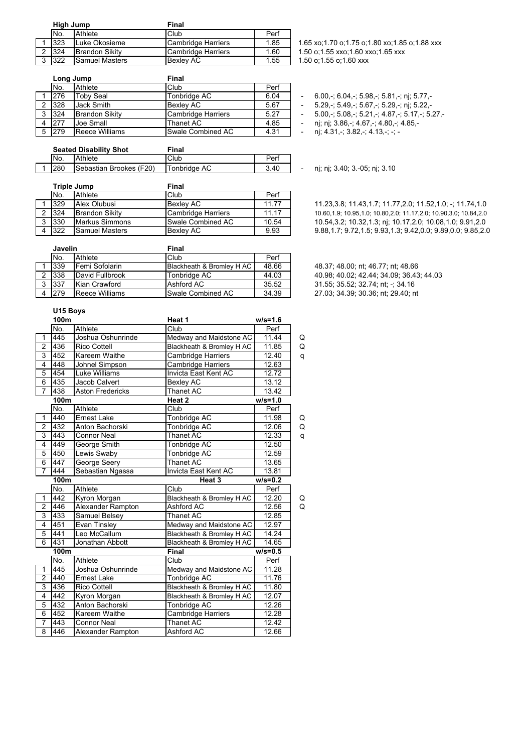| High Jump |                       | Final              |      |
|-----------|-----------------------|--------------------|------|
| No.       | Athlete               | Club               | Perf |
| 323       | Luke Okosieme         | Cambridge Harriers | 1.85 |
| 324       | <b>Brandon Sikity</b> | Cambridge Harriers | 1.60 |
| 322       | <b>Samuel Masters</b> | Bexlev AC          | 1.55 |

|   | Long Jump |                       | <b>Final</b>              |      |  |
|---|-----------|-----------------------|---------------------------|------|--|
|   | No.       | Athlete               | Club                      | Perf |  |
|   | 276       | <b>Toby Seal</b>      | Tonbridge AC              | 6.04 |  |
| 2 | 328       | Jack Smith            | <b>Bexlev AC</b>          | 5.67 |  |
| 3 | 324       | <b>Brandon Sikity</b> | <b>Cambridge Harriers</b> | 5.27 |  |
|   | 277       | Joe Small             | Thanet AC                 | 4.85 |  |
|   | 279       | Reece Williams        | Swale Combined AC         | 4.31 |  |

| <b>Seated Disability Shot</b> |                         | Final        |      |
|-------------------------------|-------------------------|--------------|------|
| No.                           | Athlete                 | Club         | Perf |
| 280                           | Sebastian Brookes (F20) | Tonbridge AC | 3.40 |

|   | <b>Triple Jump</b> |                       | <b>Final</b>       |       |  |
|---|--------------------|-----------------------|--------------------|-------|--|
|   | No.                | Athlete               | Club               | Perf  |  |
|   | $ 329\rangle$      | Alex Olubusi          | <b>Bexley AC</b>   | 11.77 |  |
|   | 324                | <b>Brandon Sikity</b> | Cambridge Harriers | 11.17 |  |
| 3 | 330                | <b>Markus Simmons</b> | Swale Combined AC  | 10.54 |  |
|   | 322                | <b>Samuel Masters</b> | <b>Bexley AC</b>   | 9.93  |  |

|   | Javelin |                 | Final                     |       |  |
|---|---------|-----------------|---------------------------|-------|--|
|   | No.     | Athlete         | Club                      | Perf  |  |
|   | 339     | Femi Sofolarin  | Blackheath & Bromley H AC | 48.66 |  |
|   | 338     | David Fullbrook | Tonbridge AC              | 44.03 |  |
| ર | 337     | Kian Crawford   | Ashford AC                | 35.52 |  |
|   | 279     | Reece Williams  | Swale Combined AC         | 34.39 |  |

**U15 Boys**

1.65 xo;1.70 o;1.75 o;1.80 xo;1.85 o;1.88 xxx 1.50 o;1.55 xxo;1.60 xxo;1.65 xxx

1.50 o;1.55 o;1.60 xxx

- 
- 1 6.00,-; 6.04,-; 5.98,-; 5.81,-; nj; 5.77,-<br>- 5.29.-; 5.49.-; 5.67.-; 5.29.-; nj; 5.22.- $5.29 - 5.49 - 5.67 - 5.29$ , ; nj;  $5.22$ 
	-
- $3.33$ <br>  $3.32$ ,  $3.33$ ,  $3.33$ ,  $3.33$ ,  $3.37$ ,  $3.517$ ,  $3.527$ ,<br>  $3.527$ ,  $3.527$ ,  $3.527$ ,  $3.527$ ,  $3.527$ ,  $3.527$ ,  $3.527$ ,  $3.527$ ,  $3.527$ ,  $3.527$ ,  $3.527$ ,  $3.527$ ,  $3.527$ ,  $3.527$ ,  $3.527$ ,  $3.527$ ,  $3.527$ , nj; nj; 3.86,-; 4.67,-; 4.80,-; 4.85,-
- $-$  nj; 4.31,-; 3.82,-; 4.13,-; -; -

- nj; nj; 3.40; 3.-05; nj; 3.10

11.23,3.8; 11.43,1.7; 11.77,2.0; 11.52,1.0; -; 11.74,1.0 2 324 Brandon Sikity Cambridge Harriers 11.17 10.60,1.9; 10.95,1.0; 10.80,2.0; 11.17,2.0; 10.90,3.0; 10.84,2.0 3 330 Markus Simmons Swale Combined AC 10.54 10.54,3.2; 10.32,1.3; nj; 10.17,2.0; 10.08,1.0; 9.91,2.0 4 322 Samuel Masters Bexley AC 9.93 9.88,1.7; 9.72,1.5; 9.93,1.3; 9.42,0.0; 9.89,0.0; 9.85,2.0

48.37; 48.00; nt; 46.77; nt; 48.66 40.98; 40.02; 42.44; 34.09; 36.43; 44.03 31.55; 35.52; 32.74; nt; -; 34.16 27.03; 34.39; 30.36; nt; 29.40; nt

|                | 100m |                         | Heat 1                    | $w/s = 1.6$ |   |
|----------------|------|-------------------------|---------------------------|-------------|---|
|                | No.  | Athlete                 | Club                      | Perf        |   |
| 1              | 445  | Joshua Oshunrinde       | Medway and Maidstone AC   | 11.44       | Q |
| $\overline{2}$ | 436  | <b>Rico Cottell</b>     | Blackheath & Bromley H AC | 11.85       | Q |
| 3              | 452  | Kareem Waithe           | <b>Cambridge Harriers</b> | 12.40       | q |
| 4              | 448  | Johnel Simpson          | Cambridge Harriers        | 12.63       |   |
| 5              | 454  | Luke Williams           | Invicta East Kent AC      | 12.72       |   |
| 6              | 435  | Jacob Calvert           | Bexley AC                 | 13.12       |   |
| 7              | 438  | <b>Aston Fredericks</b> | Thanet AC                 | 13.42       |   |
|                | 100m |                         | Heat 2                    | $w/s = 1.0$ |   |
|                | No.  | Athlete                 | Club                      | Perf        |   |
| 1              | 440  | <b>Ernest Lake</b>      | Tonbridge AC              | 11.98       | Q |
| $\overline{2}$ | 432  | Anton Bachorski         | Tonbridge AC              | 12.06       | Q |
| 3              | 443  | <b>Connor Neal</b>      | <b>Thanet AC</b>          | 12.33       | q |
| $\overline{4}$ | 449  | George Smith            | <b>Tonbridge AC</b>       | 12.50       |   |
| 5              | 450  | Lewis Swaby             | Tonbridge AC              | 12.59       |   |
| 6              | 447  | George Seery            | Thanet AC                 | 13.65       |   |
| 7              | 444  | Sebastian Ngassa        | Invicta East Kent AC      | 13.81       |   |
|                | 100m |                         | Heat 3                    | $w/s = 0.2$ |   |
|                | No.  | Athlete                 | Club                      | Perf        |   |
| 1              | 442  | Kyron Morgan            | Blackheath & Bromley H AC | 12.20       | Q |
| $\overline{2}$ | 446  | Alexander Rampton       | Ashford AC                | 12.56       | Q |
| 3              | 433  | Samuel Belsey           | <b>Thanet AC</b>          | 12.85       |   |
| 4              | 451  | Evan Tinsley            | Medway and Maidstone AC   | 12.97       |   |
| 5              | 441  | Leo McCallum            | Blackheath & Bromley H AC | 14.24       |   |
| 6              | 431  | Jonathan Abbott         | Blackheath & Bromley H AC | 14.65       |   |
|                | 100m |                         | Final                     | $w/s = 0.5$ |   |
|                | No.  | Athlete                 | Club                      | Perf        |   |
| 1              | 445  | Joshua Oshunrinde       | Medway and Maidstone AC   | 11.28       |   |
| $\overline{2}$ | 440  | Ernest Lake             | Tonbridge AC              | 11.76       |   |
| 3              | 436  | <b>Rico Cottell</b>     | Blackheath & Bromley H AC | 11.80       |   |
| 4              | 442  | Kyron Morgan            | Blackheath & Bromley H AC | 12.07       |   |
| 5              | 432  | Anton Bachorski         | Tonbridge AC              | 12.26       |   |
| 6              | 452  | Kareem Waithe           | Cambridge Harriers        | 12.28       |   |
|                |      | <b>Connor Neal</b>      | Thanet AC                 | 12.42       |   |
| 7              | 443  |                         |                           |             |   |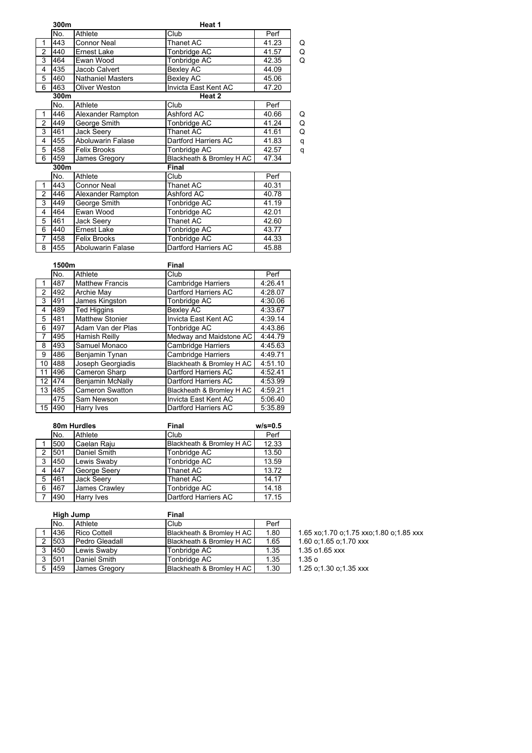|                | 300m |                          | Heat 1                    |       |   |
|----------------|------|--------------------------|---------------------------|-------|---|
|                | No.  | Athlete                  | Club                      | Perf  |   |
| 1              | 443  | <b>Connor Neal</b>       | Thanet AC                 | 41.23 | Q |
| $\overline{2}$ | 440  | Ernest Lake              | Tonbridge AC              | 41.57 | Q |
| 3              | 464  | Ewan Wood                | Tonbridge AC              | 42.35 | Q |
| 4              | 435  | Jacob Calvert            | Bexley AC                 | 44.09 |   |
| 5              | 460  | <b>Nathaniel Masters</b> | Bexley AC                 | 45.06 |   |
| 6              | 463  | Oliver Weston            | Invicta East Kent AC      | 47.20 |   |
|                | 300m |                          | Heat 2                    |       |   |
|                | No.  | Athlete                  | Club                      | Perf  |   |
| 1              | 446  | Alexander Rampton        | Ashford AC                | 40.66 | Q |
| $\overline{2}$ | 449  | George Smith             | Tonbridge AC              | 41.24 | Q |
| 3              | 461  | <b>Jack Seery</b>        | Thanet AC                 | 41.61 | Q |
| 4              | 455  | <b>Aboluwarin Falase</b> | Dartford Harriers AC      | 41.83 | q |
| 5              | 458  | <b>Felix Brooks</b>      | Tonbridge AC              | 42.57 | q |
| 6              | 459  | James Gregory            | Blackheath & Bromley H AC | 47.34 |   |
|                | 300m |                          | Final                     |       |   |
|                | No.  | Athlete                  | Club                      | Perf  |   |
| 1              | 443  | <b>Connor Neal</b>       | Thanet AC                 | 40.31 |   |
| 2              | 446  | Alexander Rampton        | Ashford AC                | 40.78 |   |
| 3              | 449  | George Smith             | Tonbridge AC              | 41.19 |   |
| 4              | 464  | Ewan Wood                | Tonbridge AC              | 42.01 |   |
| 5              | 461  | Jack Seery               | Thanet AC                 | 42.60 |   |
| 6              | 440  | <b>Ernest Lake</b>       | Tonbridge AC              | 43.77 |   |
| 7              | 458  | <b>Felix Brooks</b>      | Tonbridge AC              | 44.33 |   |
| 8              | 455  | Aboluwarin Falase        | Dartford Harriers AC      | 45.88 |   |

|                | 1500m |                        | <b>Final</b>              |         |  |
|----------------|-------|------------------------|---------------------------|---------|--|
|                | No.   | Athlete                | Club                      | Perf    |  |
|                | 487   | <b>Matthew Francis</b> | <b>Cambridge Harriers</b> | 4:26.41 |  |
| $\mathfrak{p}$ | 492   | Archie May             | Dartford Harriers AC      | 4:28.07 |  |
| 3              | 491   | James Kingston         | Tonbridge AC              | 4:30.06 |  |
| 4              | 489   | <b>Ted Higgins</b>     | <b>Bexley AC</b>          | 4:33.67 |  |
| 5              | 481   | <b>Matthew Stonier</b> | Invicta East Kent AC      | 4:39.14 |  |
| 6              | 497   | Adam Van der Plas      | Tonbridge AC              | 4:43.86 |  |
| 7              | 495   | Hamish Reilly          | Medway and Maidstone AC   | 4:44.79 |  |
| 8              | 493   | Samuel Monaco          | <b>Cambridge Harriers</b> | 4:45.63 |  |
| 9              | 486   | Benjamin Tynan         | Cambridge Harriers        | 4:49.71 |  |
| 10             | 488   | Joseph Georgiadis      | Blackheath & Bromley H AC | 4:51.10 |  |
| 11             | 496   | Cameron Sharp          | Dartford Harriers AC      | 4:52.41 |  |
| 12             | 474   | Benjamin McNally       | Dartford Harriers AC      | 4:53.99 |  |
| 13             | 485   | <b>Cameron Swatton</b> | Blackheath & Bromley H AC | 4:59.21 |  |
|                | 475   | Sam Newson             | Invicta East Kent AC      | 5:06.40 |  |
| 15             | 490   | Harry Ives             | Dartford Harriers AC      | 5:35.89 |  |

|                | 80m Hurdles |                   | <b>Final</b>              | $w/s = 0.5$ |
|----------------|-------------|-------------------|---------------------------|-------------|
|                | No.         | Athlete           | Club                      | Perf        |
|                | 500         | Caelan Raju       | Blackheath & Bromley H AC | 12.33       |
| $\overline{2}$ | 501         | Daniel Smith      | Tonbridge AC              | 13.50       |
| 3              | 450         | Lewis Swaby       | Tonbridge AC              | 13.59       |
| 4              | 447         | George Seery      | Thanet AC                 | 13.72       |
| 5              | 461         | <b>Jack Seery</b> | Thanet AC                 | 14.17       |
| 6              | 467         | James Crawley     | Tonbridge AC              | 14.18       |
| 7              | 490         | Harry Ives        | Dartford Harriers AC      | 17.15       |

| High Jump |                     | Final                     |      |                                         |
|-----------|---------------------|---------------------------|------|-----------------------------------------|
| No.       | Athlete             | Club                      | Perf |                                         |
| 436       | <b>Rico Cottell</b> | Blackheath & Bromley H AC | 1.80 | 1.65 xo;1.70 o;1.75 xxo;1.80 o;1.85 xxx |
| 503       | Pedro Gleadall      | Blackheath & Bromlev H AC | 1.65 | 1.60 o; 1.65 o; 1.70 xxx                |
| 1450      | Lewis Swaby         | Tonbridge AC              | 1.35 | 1.35 o1.65 xxx                          |
| 501       | Daniel Smith        | Tonbridae AC              | 1.35 | 1.35 <sub>o</sub>                       |
| 459       | James Gregory       | Blackheath & Bromley H AC | 1.30 | 1.25 o:1.30 o:1.35 xxx                  |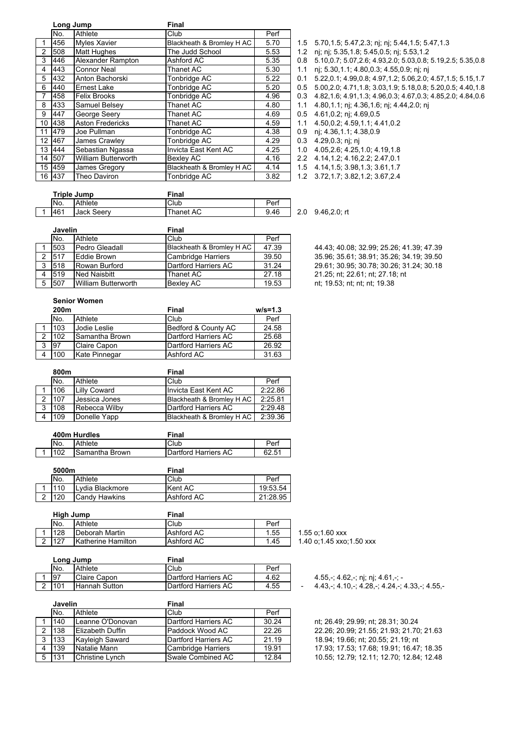|                | Long Jump |                         | <b>Final</b>              |      |  |
|----------------|-----------|-------------------------|---------------------------|------|--|
|                | No.       | Athlete                 | Club                      | Perf |  |
| 1              | 456       | <b>Myles Xavier</b>     | Blackheath & Bromley H AC | 5.70 |  |
| $\overline{2}$ | 508       | <b>Matt Hughes</b>      | The Judd School           | 5.53 |  |
| 3              | 446       | Alexander Rampton       | Ashford AC                | 5.35 |  |
| 4              | 443       | <b>Connor Neal</b>      | <b>Thanet AC</b>          | 5.30 |  |
| 5              | 432       | Anton Bachorski         | Tonbridge AC              | 5.22 |  |
| 6              | 440       | <b>Ernest Lake</b>      | Tonbridge AC              | 5.20 |  |
| 7              | 458       | <b>Felix Brooks</b>     | Tonbridge AC              | 4.96 |  |
| 8              | 433       | Samuel Belsey           | <b>Thanet AC</b>          | 4.80 |  |
| 9              | 447       | George Seery            | <b>Thanet AC</b>          | 4.69 |  |
| 10             | 438       | <b>Aston Fredericks</b> | <b>Thanet AC</b>          | 4.59 |  |
| 11             | 479       | Joe Pullman             | Tonbridge AC              | 4.38 |  |
| 12             | 467       | James Crawley           | Tonbridge AC              | 4.29 |  |
| 13             | 444       | Sebastian Ngassa        | Invicta East Kent AC      | 4.25 |  |
| 14             | 507       | William Butterworth     | Bexley AC                 | 4.16 |  |
| 15             | 459       | James Gregory           | Blackheath & Bromley H AC | 4.14 |  |
|                | 16 437    | Theo Daviron            | Tonbridge AC              | 3.82 |  |

1.5 5.70,1.5; 5.47,2.3; nj; nj; 5.44,1.5; 5.47,1.3 1.2 nj; nj; 5.35,1.8; 5.45,0.5; nj; 5.53,1.2  $3.8 \quad 5.10, 0.7; 5.07, 2.6; 4.93, 2.0; 5.03, 0.8; 5.19, 2.5; 5.35, 0.8$ 1.1 nj; 5.30,1.1; 4.80,0.3; 4.55,0.9; nj; nj 0.1 5.22,0.1; 4.99,0.8; 4.97,1.2; 5.06,2.0; 4.57,1.5; 5.15,1.7 0.5 5.00, 2.0; 4.71, 1.8; 3.03, 1.9; 5.18, 0.8; 5.20, 0.5; 4.40, 1.8  $0.3$  4.82,1.6; 4.91,1.3; 4.96,0.3; 4.67,0.3; 4.85,2.0; 4.84,0.6 1.1 4.80,1.1; nj; 4.36,1.6; nj; 4.44,2.0; nj  $0.5$  4.61,0.2; nj; 4.69,0.5  $1.1 \quad 4.50, 0.2; 4.59, 1.1; 4.41, 0.2;$ 0.9 nj; 4.36,1.1; 4.38,0.9  $0.3 \quad 4.29, 0.3; \text{nj}; \text{nj}$ 

1.0 4.05,2.6; 4.25,1.0; 4.19,1.8  $2.2 \quad 4.14, 1.2; 4.16, 2.2; 2.47, 0.1$ 

1.5 4.14,1.5; 3.98,1.3; 3.61,1.7

1.2 3.72,1.7; 3.82,1.2; 3.67,2.4

|   | Triple Jump |            | Final     |      |     |                 |  |
|---|-------------|------------|-----------|------|-----|-----------------|--|
|   | No.         | Athlete    | Club      | Perf |     |                 |  |
| ◢ | 461         | Jack Seerv | Thanet AC | 9.46 | 2.0 | $9.46, 2.0;$ rt |  |

| Javelin |                | Final                     |       |                                          |
|---------|----------------|---------------------------|-------|------------------------------------------|
| No.     | <b>Athlete</b> | Club                      | Perf  |                                          |
| 503     | Pedro Gleadall | Blackheath & Bromley H AC | 47.39 | 44.43; 40.08; 32.99; 25.26; 41.39; 47.39 |
| 517     | Eddie Brown    | Cambridge Harriers        | 39.50 | 35.96; 35.61; 38.91; 35.26; 34.19; 39.50 |
| 518     | IRowan Burford | Dartford Harriers AC      | 31.24 | 29.61; 30.95; 30.78; 30.26; 31.24; 30.18 |

35.96; 35.61; 38.91; 35.26; 34.19; 39.50 3 518 Rowan Burford Dartford Harriers AC 31.24 29.61; 30.95; 30.78; 30.26; 31.24; 30.18<br>3 519 Ned Naisbitt Thanet AC 27.18 21.25; nt; 22.61; nt; 27.18; nt 21.25; nt; 22.61; nt; 27.18; nt 5 507 William Butterworth Bexley AC 19.53 nt; 19.53; nt; nt; nt; 19.38

#### **Senior Women**

|   | 200m |                     | Final                | $w/s = 1.3$ |
|---|------|---------------------|----------------------|-------------|
|   | No.  | Athlete             | Club                 | Perf        |
|   | 103  | Jodie Leslie        | Bedford & County AC  | 24.58       |
|   | 102  | ISamantha Brown     | Dartford Harriers AC | 25.68       |
| 3 | 97   | <b>Claire Capon</b> | Dartford Harriers AC | 26.92       |
|   | 100  | Kate Pinnegar       | Ashford AC           | 31.63       |

|   | 800m |                     | Final                     |         |  |  |
|---|------|---------------------|---------------------------|---------|--|--|
|   | No.  | Athlete             | Club                      | Perf    |  |  |
|   | 106  | <b>Lilly Coward</b> | Invicta East Kent AC      | 2:22.86 |  |  |
|   | 107  | Jessica Jones       | Blackheath & Bromley H AC | 2:25.81 |  |  |
| 3 | 108  | Rebecca Wilby       | Dartford Harriers AC      | 2:29.48 |  |  |
|   | 109  | Donelle Yapp        | Blackheath & Bromley H AC | 2:39.36 |  |  |

| 400m Hurdles |                       | Final                |       |  |  |
|--------------|-----------------------|----------------------|-------|--|--|
| No.          | Athlete               | Club                 | Perf  |  |  |
| 102          | <b>Samantha Brown</b> | Dartford Harriers AC | 62.51 |  |  |

|        | 5000m |                 | Final      |          |  |
|--------|-------|-----------------|------------|----------|--|
|        | No.   | Athlete         | Club       | Perf     |  |
|        | 110   | Lydia Blackmore | Kent AC    | 19:53.54 |  |
| $\sim$ | 120   | Candy Hawkins   | Ashford AC | 21:28.95 |  |

|        | High Jump |                    | Final      |      |      |
|--------|-----------|--------------------|------------|------|------|
|        | No.       | Athlete            | Club       | Perf |      |
|        | 128       | Deborah Martin     | Ashford AC | 1.55 | 1.55 |
| $\sim$ | 127       | Katherine Hamilton | Ashford AC | 1.45 | 1.4( |

| Long Jump |                      | Final                |      |  |
|-----------|----------------------|----------------------|------|--|
| No.       | Athlete              | Club                 | Perf |  |
| -97       | Claire Capon         | Dartford Harriers AC | 4.62 |  |
| 101       | <b>Hannah Sutton</b> | Dartford Harriers AC | 4.55 |  |

|   | Javelin |                        | Final                        |       |  |  |
|---|---------|------------------------|------------------------------|-------|--|--|
|   | No.     | Athlete                | Club                         | Perf  |  |  |
|   | 140     | Leanne O'Donovan       | Dartford Harriers AC         | 30.24 |  |  |
|   | 138     | Elizabeth Duffin       | Paddock Wood AC              | 22.26 |  |  |
| 3 | 133     | Kayleigh Saward        | <b>IDartford Harriers AC</b> | 21.19 |  |  |
|   | 139     | Natalie Mann           | <b>Cambridge Harriers</b>    | 19.91 |  |  |
| 5 | 131     | <b>Christine Lynch</b> | Swale Combined AC            | 12.84 |  |  |

 $5$  o:1.60  $xxx$ 0 o;1.45 xxo;1.50 xxx

4.55,-; 4.62,-; nj; nj; 4.61,-; -

 $4.43, -$ ;  $4.10, -$ ;  $4.28, -$ ;  $4.24, -$ ;  $4.33, -$ ;  $4.55, -$ 

nt; 26.49; 29.99; nt; 28.31; 30.24 22.26; 20.99; 21.55; 21.93; 21.70; 21.63 18.94; 19.66; nt; 20.55; 21.19; nt 17.93; 17.53; 17.68; 19.91; 16.47; 18.35 5 131 Christine Lynch Swale Combined AC 12.84 10.55; 12.79; 12.11; 12.70; 12.84; 12.48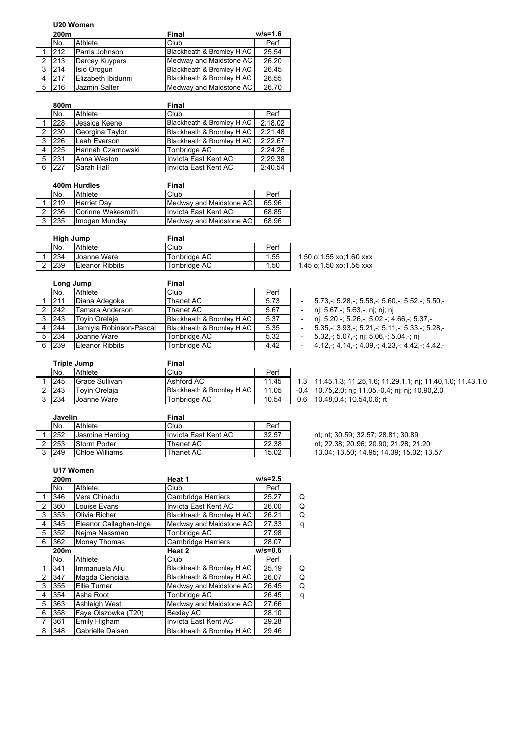### **U20 Women**

|   | 200m |                    | Final                     | $w/s = 1.6$ |
|---|------|--------------------|---------------------------|-------------|
|   | No.  | Athlete            | Club                      | Perf        |
|   | 212  | Parris Johnson     | Blackheath & Bromley H AC | 25.54       |
|   | 213  | Darcey Kuypers     | Medway and Maidstone AC   | 26.20       |
| 3 | 214  | <b>Isio Orogun</b> | Blackheath & Bromley H AC | 26.45       |
|   | 217  | Elizabeth Ibidunni | Blackheath & Bromley H AC | 26.55       |
|   | 216  | Jazmin Salter      | Medway and Maidstone AC   | 26.70       |

|   | 800m |                   | <b>Final</b>              |         |  |  |
|---|------|-------------------|---------------------------|---------|--|--|
|   | No.  | Athlete           | Club                      | Perf    |  |  |
|   | 228  | Jessica Keene     | Blackheath & Bromley H AC | 2:18.02 |  |  |
|   | 230  | Georgina Taylor   | Blackheath & Bromley H AC | 2:21.48 |  |  |
| 3 | 226  | Leah Everson      | Blackheath & Bromley H AC | 2:22.67 |  |  |
|   | 225  | Hannah Czarnowski | Tonbridge AC              | 2:24.26 |  |  |
| 5 | 231  | Anna Weston       | Invicta East Kent AC      | 2:29.38 |  |  |
| 6 | 227  | Sarah Hall        | Invicta East Kent AC      | 2:40.54 |  |  |

|   | 400m Hurdles |                    | Final                     |       |  |  |
|---|--------------|--------------------|---------------------------|-------|--|--|
|   | No.          | Athlete            | Club                      | Perf  |  |  |
|   | 219          | <b>Harriet Dav</b> | Medway and Maidstone AC   | 65.96 |  |  |
|   | 236          | Corinne Wakesmith  | Ilnvicta East Kent AC     | 68.85 |  |  |
| 3 | 235          | Imogen Munday      | Medway and Maidstone AC I | 68.96 |  |  |

| Hiah Jump |                 | Final        |      |  |  |  |
|-----------|-----------------|--------------|------|--|--|--|
| No.       | Athlete         | Club         | Perf |  |  |  |
| 234       | Joanne Ware     | Tonbridge AC | 1.55 |  |  |  |
| 239       | Eleanor Ribbits | Tonbridge AC | 1.50 |  |  |  |

|   | Long Jump    |                         | Final                     |      |                                                 |
|---|--------------|-------------------------|---------------------------|------|-------------------------------------------------|
|   | No.          | Athlete                 | Club                      | Perf |                                                 |
|   | 1211         | Diana Adegoke           | Thanet AC                 | 5.73 | $5.73 - 5.28 - 5.58 - 5.60 - 5.52 - 5.50$       |
|   | 242          | Tamara Anderson         | Thanet AC                 | 5.67 | nj; 5.67,-; 5.63,-; nj; nj; nj                  |
| 3 | 243          | <b>Tovin Orelaia</b>    | Blackheath & Bromley H AC | 5.37 | nj; 5.20, -; 5.26, -; 5.02, -; 4.66, -; 5.37, - |
| 4 | 244          | Jamiyla Robinson-Pascal | Blackheath & Bromley H AC | 5.35 | $5.35 - 3.93 - 5.21 - 5.11 - 5.33 - 5.28$       |
|   | $5 \mid 234$ | Joanne Ware             | Tonbridge AC              | 5.32 | 5.32,-; 5.07,-; nj; 5.06,-; 5.04,-; nj          |
|   | 6 239        | <b>Eleanor Ribbits</b>  | Tonbridge AC              | 4.42 | $4.12 - 4.14 - 4.09 - 4.23 - 4.42 - 4.42$       |

1.50 o;1.55 xo;1.60 xxx 1.45 o;1.50 xo;1.55 xxx

- $-$  5.73,-; 5.28,-; 5.58,-; 5.60,-; 5.52,-; 5.50,-
- 2 nj; 5.67,-; 5.63,-; nj; nj; nj<br>220,-; 5.26,-; 5.02,-; 4
	- $n$ j; 5.20,-; 5.26,-; 5.02,-; 4.66,-; 5.37,-
- 
- $-5.35, \frac{1}{2}$  3.93,-; 5.21,-; 5.11,-; 5.33,-; 5.28,-<br>- 5.32,-; 5.07,-; ni; 5.06,-; 5.04,-; ni
- 

| Triple Jump |                | Final                     |       |     |                                                               |
|-------------|----------------|---------------------------|-------|-----|---------------------------------------------------------------|
| No.         | Athlete        | Club                      | Perf  |     |                                                               |
| 245         | Grace Sullivan | Ashford AC                | 11.45 |     | 1.3 11.45,1.3; 11.25,1.6; 11.29,1.1; nj; 11.40,1.0; 11.43,1.0 |
| 243         | Tovin Orelaia  | Blackheath & Bromley H AC | 11.05 |     | -0.4 10.75, 2.0; nj; 11.05, -0.4; nj; nj; 10.90, 2.0          |
| 234         | Joanne Ware    | Tonbridge AC              | 10.54 | 0.6 | 10.48.0.4: 10.54.0.6: rt                                      |

| Javelin |                 | Final                 |       |                                          |
|---------|-----------------|-----------------------|-------|------------------------------------------|
| No.     | Athlete         | Club                  | Perf  |                                          |
| 252     | Jasmine Harding | Ilnvicta East Kent AC | 32.57 | nt: nt: 30.59: 32.57: 28.81: 30.89       |
| 253     | Storm Porter    | Thanet AC             | 22.38 | nt; 22.38; 20.96; 20.90; 21.28; 21.20    |
| 249     | Chloe Williams  | Thanet AC             | 15.02 | 13.04; 13.50; 14.95; 14.39; 15.02; 13.57 |

#### **U17 Women**

|                | 200m |                        | Heat 1                    | $w/s = 2.5$ |   |
|----------------|------|------------------------|---------------------------|-------------|---|
|                | No.  | Athlete                | Club                      | Perf        |   |
|                | 346  | Vera Chinedu           | <b>Cambridge Harriers</b> | 25.27       | Q |
| $\overline{2}$ | 360  | Louise Evans           | Invicta East Kent AC      | 26.00       | Q |
| 3              | 353  | Olivia Richer          | Blackheath & Bromley H AC | 26.21       | Q |
| 4              | 345  | Eleanor Callaghan-Inge | Medway and Maidstone AC   | 27.33       | q |
| 5              | 352  | Neima Nassman          | Tonbridge AC              | 27.98       |   |
| 6              | 362  | <b>Monay Thomas</b>    | <b>Cambridge Harriers</b> | 28.07       |   |
|                | 200m |                        | Heat 2                    | $w/s = 0.6$ |   |
|                | No.  | Athlete                | Club                      | Perf        |   |
| 1              | 341  | Immanuela Aliu         | Blackheath & Bromley H AC | 25.19       | Q |
| $\overline{2}$ | 347  | Magda Cienciala        | Blackheath & Bromley H AC | 26.07       | Q |
| 3              | 355  | Ellie Turner           | Medway and Maidstone AC   | 26.45       | Q |
| 4              | 354  | Asha Root              | Tonbridge AC              | 26.45       | q |
| 5              | 363  | Ashleigh West          | Medway and Maidstone AC   | 27.66       |   |
| 6              | 358  | Faye Olszowka (T20)    | Bexley AC                 | 28.10       |   |
| 7              | 361  | Emily Higham           | Invicta East Kent AC      | 29.28       |   |
| 8              | 348  | Gabrielle Dalsan       | Blackheath & Bromley H AC | 29.46       |   |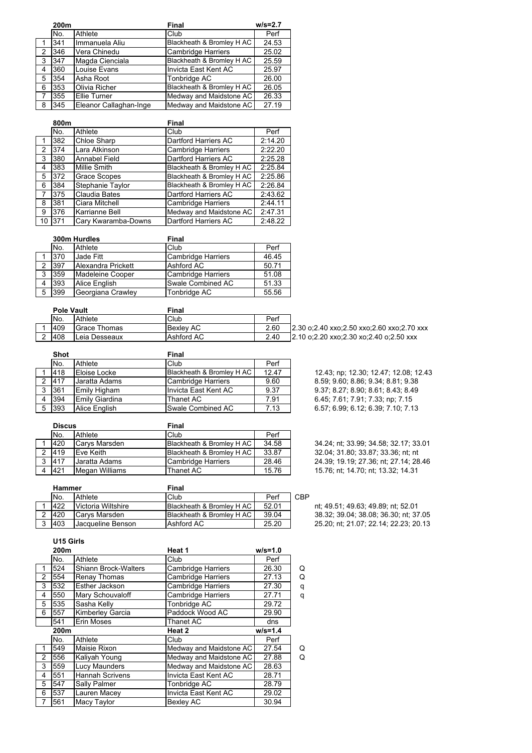|   | 200m |                        | <b>Final</b>              | $w/s = 2.7$ |
|---|------|------------------------|---------------------------|-------------|
|   | No.  | Athlete                | Club                      | Perf        |
|   | 341  | Immanuela Aliu         | Blackheath & Bromley H AC | 24.53       |
| 2 | 346  | Vera Chinedu           | <b>Cambridge Harriers</b> | 25.02       |
| 3 | 347  | Magda Cienciala        | Blackheath & Bromley H AC | 25.59       |
| 4 | 360  | Louise Evans           | Invicta East Kent AC      | 25.97       |
| 5 | 354  | Asha Root              | Tonbridge AC              | 26.00       |
| 6 | 353  | Olivia Richer          | Blackheath & Bromley H AC | 26.05       |
| 7 | 355  | Ellie Turner           | Medway and Maidstone AC   | 26.33       |
| 8 | 345  | Eleanor Callaghan-Inge | Medway and Maidstone AC   | 27.19       |

|               | 800m |                     | <b>Final</b>              |         |
|---------------|------|---------------------|---------------------------|---------|
|               | No.  | Athlete             | Club                      | Perf    |
|               | 382  | Chloe Sharp         | Dartford Harriers AC      | 2:14.20 |
| $\mathcal{P}$ | 374  | Lara Atkinson       | Cambridge Harriers        | 2:22.20 |
| 3             | 380  | Annabel Field       | Dartford Harriers AC      | 2:25.28 |
| 4             | 383  | <b>Millie Smith</b> | Blackheath & Bromley H AC | 2:25.84 |
| 5             | 372  | <b>Grace Scopes</b> | Blackheath & Bromley H AC | 2:25.86 |
| 6             | 384  | Stephanie Taylor    | Blackheath & Bromley H AC | 2:26.84 |
| 7             | 375  | Claudia Bates       | Dartford Harriers AC      | 2:43.62 |
| 8             | 381  | Ciara Mitchell      | Cambridge Harriers        | 2:44.11 |
| 9             | 376  | Karrianne Bell      | Medway and Maidstone AC   | 2:47.31 |
| 10            | 371  | Cary Kwaramba-Downs | Dartford Harriers AC      | 2:48.22 |

|   |     | 300m Hurdles       | Final                     |       |  |
|---|-----|--------------------|---------------------------|-------|--|
|   | No. | Athlete            | Club                      | Perf  |  |
|   | 370 | Jade Fitt          | <b>Cambridge Harriers</b> | 46.45 |  |
|   | 397 | Alexandra Prickett | Ashford AC                | 50.71 |  |
| 3 | 359 | Madeleine Cooper   | <b>Cambridge Harriers</b> | 51.08 |  |
|   | 393 | Alice English      | Swale Combined AC         | 51.33 |  |
| 5 | 399 | Georgiana Crawley  | Tonbridge AC              | 55.56 |  |

| <b>Pole Vault</b> |                     | Final            |      |                                            |
|-------------------|---------------------|------------------|------|--------------------------------------------|
| No.               | Athlete             | Club             | Perf |                                            |
| 409               | <b>Grace Thomas</b> | <b>Bexlev AC</b> | 2.60 | 2.30 o:2.40 xxo:2.50 xxo:2.60 xxo:2.70 xxx |
| 408               | Leia Desseaux       | Ashford AC       | 2.40 | 2.10 o:2.20 xxo:2.30 xo:2.40 o:2.50 xxx    |

|   | <b>Shot</b> |                | <b>Final</b>              |       |
|---|-------------|----------------|---------------------------|-------|
|   | No.         | Athlete        | Club                      | Perf  |
|   | 418         | Eloise Locke   | Blackheath & Bromley H AC | 12.47 |
|   | 417         | Jaratta Adams  | <b>Cambridge Harriers</b> | 9.60  |
| 3 | 361         | Emily Higham   | Invicta East Kent AC      | 9.37  |
|   | 394         | Emily Giardina | Thanet AC                 | 7.91  |
| 5 | 393         | Alice English  | Swale Combined AC         | 7.13  |

12.43; np; 12.30; 12.47; 12.08; 12.43 8.59; 9.60; 8.86; 9.34; 8.81; 9.38 9.37; 8.27; 8.90; 8.61; 8.43; 8.49 6.45; 7.61; 7.91; 7.33; np; 7.15 6 57; 6.99; 6.12; 6.39; 7.10; 7.13

|   | <b>Discus</b> |                | <b>Final</b>              |       |  |
|---|---------------|----------------|---------------------------|-------|--|
|   | No.           | Athlete        | Club                      | Perf  |  |
|   | 420           | Carys Marsden  | Blackheath & Bromley H AC | 34.58 |  |
|   | 419           | Eve Keith      | Blackheath & Bromley H AC | 33.87 |  |
| 3 | 417           | Jaratta Adams  | Cambridge Harriers        | 28.46 |  |
|   | 421           | Megan Williams | Thanet AC                 | 15.76 |  |

 $\left[ \right]$  34.24; nt; 33.99; 34.58; 32.17; 33.01  $\frac{1}{2}$  32.04; 31.80; 33.87; 33.36; nt; nt  $\overline{2}$  24.39; 19.19; 27.36; nt; 27.14; 28.46  $15.76$ ; nt; 14.70; nt; 13.32; 14.31

| Hammer |                    |      |                                                  |                           |
|--------|--------------------|------|--------------------------------------------------|---------------------------|
| No.    | Athlete            | Club | Perf                                             | CBP                       |
| 422    | Victoria Wiltshire |      | 52.01                                            |                           |
| 420    | Carvs Marsden      |      | 39.04                                            |                           |
| 403    | Jacqueline Benson  |      | 25.20                                            |                           |
|        |                    |      | Final<br>Blackheath & Bromley H AC<br>Ashford AC | Blackheath & Bromley H AC |

nt; 49.51; 49.63; 49.89; nt; 52.01 38.32; 39.04; 38.08; 36.30; nt; 37.05 3 403 Jacqueline Benson Ashford AC 25.20 25.20; nt; 21.07; 22.14; 22.23; 20.13

**U15 Girls**

|                | 200m |                        | Heat 1                    | $w/s = 1.0$ |   |
|----------------|------|------------------------|---------------------------|-------------|---|
|                | No.  | Athlete                | Club                      | Perf        |   |
| 1              | 524  | Shiann Brock-Walters   | <b>Cambridge Harriers</b> | 26.30       | Q |
| $\overline{c}$ | 554  | Renay Thomas           | <b>Cambridge Harriers</b> | 27.13       | Q |
| 3              | 532  | Esther Jackson         | Cambridge Harriers        | 27.30       | q |
| 4              | 550  | Mary Schouvaloff       | Cambridge Harriers        | 27.71       | q |
| 5              | 535  | Sasha Kelly            | Tonbridge AC              | 29.72       |   |
| 6              | 557  | Kimberley Garcia       | Paddock Wood AC           | 29.90       |   |
|                | 541  | Erin Moses             | Thanet AC                 | dns         |   |
|                | 200m |                        | Heat 2                    | $w/s = 1.4$ |   |
|                | No.  | Athlete                | Club                      | Perf        |   |
| 1              | 549  | Maisie Rixon           | Medway and Maidstone AC   | 27.54       | Q |
| 2              | 556  | Kaliyah Young          | Medway and Maidstone AC   | 27.88       | Q |
| 3              | 559  | Lucy Maunders          | Medway and Maidstone AC   | 28.63       |   |
|                |      |                        |                           |             |   |
| 4              | 551  | <b>Hannah Scrivens</b> | Invicta East Kent AC      | 28.71       |   |
| 5              | 547  | Sally Palmer           | Tonbridge AC              | 28.79       |   |
| 6              | 537  | Lauren Macey           | Invicta East Kent AC      | 29.02       |   |
| 7              | 561  | Macy Taylor            | <b>Bexley AC</b>          | 30.94       |   |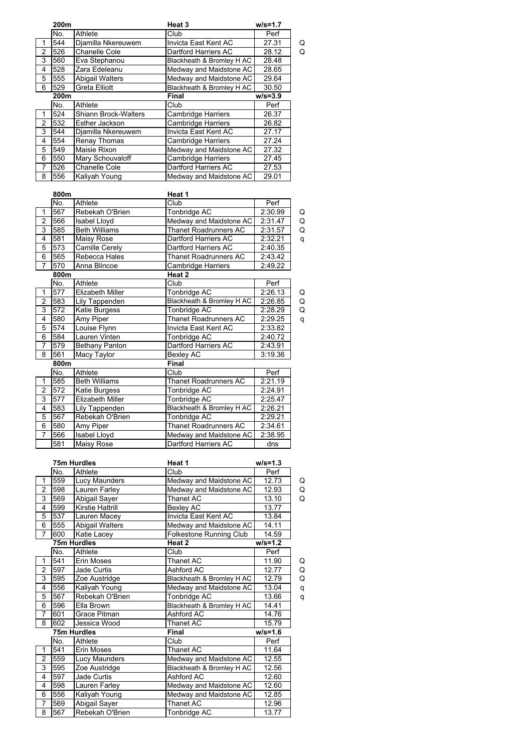|                | 200m |                        | Heat 3                    | $w/s = 1.7$ |   |
|----------------|------|------------------------|---------------------------|-------------|---|
|                | No.  | Athlete                | Club                      | Perf        |   |
|                | 544  | Djamilla Nkereuwem     | Invicta East Kent AC      | 27.31       | Q |
| $\overline{2}$ | 526  | Chanelle Cole          | Dartford Harriers AC      | 28.12       | Q |
| 3              | 560  | Eva Stephanou          | Blackheath & Bromley H AC | 28.48       |   |
| 4              | 528  | Zara Edeleanu          | Medway and Maidstone AC   | 28.65       |   |
| 5              | 555  | <b>Abigail Walters</b> | Medway and Maidstone AC   | 29.64       |   |
| 6              | 529  | Greta Elliott          | Blackheath & Bromley H AC | 30.50       |   |
|                | 200m |                        | Final                     | $w/s = 3.9$ |   |
|                | No.  | Athlete                | Club                      | Perf        |   |
| 1              | 524  | Shiann Brock-Walters   | <b>Cambridge Harriers</b> | 26.37       |   |
| $\overline{2}$ | 532  | Esther Jackson         | <b>Cambridge Harriers</b> | 26.82       |   |
| 3              | 544  | Djamilla Nkereuwem     | Invicta East Kent AC      | 27.17       |   |
| 4              | 554  | Renay Thomas           | Cambridge Harriers        | 27.24       |   |
| 5              | 549  | Maisie Rixon           | Medway and Maidstone AC   | 27.32       |   |
| 6              | 550  | Mary Schouvaloff       | Cambridge Harriers        | 27.45       |   |
| 7              | 526  | Chanelle Cole          | Dartford Harriers AC      | 27.53       |   |
| 8              | 556  | Kaliyah Young          | Medway and Maidstone AC   | 29.01       |   |

| 800m |                         | Heat 1                       |                                            |   |
|------|-------------------------|------------------------------|--------------------------------------------|---|
| No.  | Athlete                 | Club                         | Perf                                       |   |
| 567  | Rebekah O'Brien         | Tonbridge AC                 | 2:30.99                                    | Q |
| 566  | Isabel Lloyd            | Medway and Maidstone AC      | 2:31.47                                    | Q |
| 585  | <b>Beth Williams</b>    | <b>Thanet Roadrunners AC</b> | 2:31.57                                    | Q |
| 581  | Maisy Rose              | Dartford Harriers AC         | 2:32.21                                    | q |
| 573  | Camille Cerely          | Dartford Harriers AC         | 2:40.35                                    |   |
| 565  | Rebecca Hales           | Thanet Roadrunners AC        | 2:43.42                                    |   |
| 570  | Anna Blincoe            |                              | 2:49.22                                    |   |
| 800m |                         | Heat 2                       |                                            |   |
| No.  | Athlete                 | Club                         | Perf                                       |   |
| 577  | Elizabeth Miller        | Tonbridge AC                 | 2:26.13                                    | Q |
| 583  | Lily Tappenden          | Blackheath & Bromley H AC    | 2:26.85                                    | Q |
| 572  | Katie Burgess           | Tonbridge AC                 | 2:28.29                                    | Q |
| 580  | Amy Piper               | <b>Thanet Roadrunners AC</b> | 2:29.25                                    | q |
| 574  | Louise Flynn            | Invicta East Kent AC         | 2:33.82                                    |   |
| 584  | Lauren Vinten           | Tonbridge AC                 | 2:40.72                                    |   |
| 579  | <b>Bethany Panton</b>   |                              | 2:43.91                                    |   |
| 561  | Macy Taylor             | Bexley AC                    | 3:19.36                                    |   |
| 800m |                         | Final                        |                                            |   |
| No.  | Athlete                 | Club                         | Perf                                       |   |
| 585  | <b>Beth Williams</b>    | Thanet Roadrunners AC        | 2:21.19                                    |   |
| 572  | Katie Burgess           | Tonbridge AC                 | 2:24.91                                    |   |
| 577  | <b>Elizabeth Miller</b> | Tonbridge AC                 | 2:25.47                                    |   |
| 583  | Lily Tappenden          | Blackheath & Bromley H AC    | 2:26.21                                    |   |
| 567  | Rebekah O'Brien         | Tonbridge AC                 | 2:29.21                                    |   |
| 580  | Amy Piper               | Thanet Roadrunners AC        | 2:34.61                                    |   |
| 566  | Isabel Lloyd            | Medway and Maidstone AC      | 2:38.95                                    |   |
| 581  | Maisy Rose              | Dartford Harriers AC         | dns                                        |   |
|      |                         |                              | Cambridge Harriers<br>Dartford Harriers AC |   |

|                |     | <b>75m Hurdles</b> | Heat 1                    | $w/s = 1.3$ |   |
|----------------|-----|--------------------|---------------------------|-------------|---|
|                | No. | Athlete            | Club                      | Perf        |   |
| 1              | 559 | Lucy Maunders      | Medway and Maidstone AC   | 12.73       | Q |
| $\overline{2}$ | 598 | Lauren Farley      | Medway and Maidstone AC   | 12.93       | Q |
| 3              | 569 | Abigail Sayer      | Thanet AC                 | 13.10       | Q |
| 4              | 599 | Kirstie Hattrill   | <b>Bexley AC</b>          | 13.77       |   |
| 5              | 537 | Lauren Macey       | Invicta East Kent AC      | 13.84       |   |
| 6              | 555 | Abigail Walters    | Medway and Maidstone AC   | 14.11       |   |
| $\overline{7}$ | 600 | Katie Lacey        | Folkestone Running Club   | 14.59       |   |
|                |     | <b>75m Hurdles</b> | Heat 2                    | $w/s = 1.2$ |   |
|                | No. | Athlete            | Club                      | Perf        |   |
| 1              | 541 | Erin Moses         | Thanet AC                 | 11.90       | Q |
| $\overline{2}$ | 597 | Jade Curtis        | Ashford AC                | 12.77       | Q |
| 3              | 595 | Zoe Austridge      | Blackheath & Bromley H AC | 12.79       | Q |
| 4              | 556 | Kaliyah Young      | Medway and Maidstone AC   | 13.04       | q |
| 5              | 567 | Rebekah O'Brien    | Tonbridge AC              | 13.66       | q |
| 6              | 596 | Ella Brown         | Blackheath & Bromley H AC | 14.41       |   |
| $\overline{7}$ | 601 | Grace Pitman       | Ashford AC                | 14.76       |   |
| 8              | 602 | Jessica Wood       | Thanet AC                 | 15.79       |   |
|                |     | <b>75m Hurdles</b> | <b>Final</b>              | $w/s = 1.6$ |   |
|                | No. | Athlete            | Club                      | Perf        |   |
| 1              | 541 | Erin Moses         | Thanet AC                 | 11.64       |   |
| $\overline{2}$ | 559 | Lucy Maunders      | Medway and Maidstone AC   | 12.55       |   |
| 3              | 595 | Zoe Austridge      | Blackheath & Bromley H AC | 12.56       |   |
| 4              | 597 | Jade Curtis        | Ashford AC                | 12.60       |   |
| 4              | 598 | Lauren Farley      | Medway and Maidstone AC   | 12.60       |   |
| 6              | 556 | Kaliyah Young      | Medway and Maidstone AC   | 12.85       |   |
| $\overline{7}$ | 569 | Abigail Sayer      | Thanet AC                 | 12.96       |   |
| 8              | 567 | Rebekah O'Brien    | Tonbridge AC              | 13.77       |   |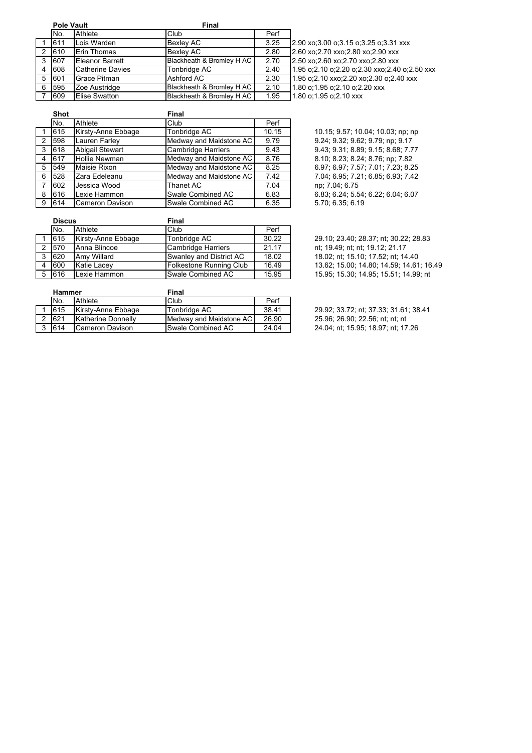|   | <b>Pole Vault</b> |                  | Final                       |      |                                                    |
|---|-------------------|------------------|-----------------------------|------|----------------------------------------------------|
|   | No.               | Athlete          | Club                        | Perf |                                                    |
|   | 611               | Lois Warden      | Bexlev AC                   | 3.25 | 2.90 xo: 3.00 o: 3.15 o: 3.25 o: 3.31 xxx          |
| 2 | 610               | Erin Thomas      | Bexlev AC                   | 2.80 | 2.60 xo; 2.70 xxo; 2.80 xo; 2.90 xxx               |
| 3 | 607               | Eleanor Barrett  | Blackheath & Bromley H AC   | 2.70 | 2.50 xo; 2.60 xo; 2.70 xxo; 2.80 xxx               |
| 4 | 608               | Catherine Davies | Tonbridge AC                | 2.40 | 1.95 o; 2.10 o; 2.20 o; 2.30 xxo; 2.40 o; 2.50 xxx |
| 5 | 601               | Grace Pitman     | Ashford AC                  | 2.30 | 1.95 o; 2.10 xxo; 2.20 xo; 2.30 o; 2.40 xxx        |
| 6 | 595               | Zoe Austridge    | Blackheath & Bromley H AC   | 2.10 | 1.80 o:1.95 o:2.10 o:2.20 xxx                      |
|   | 609               | Elise Swatton    | Blackheath & Bromlev H AC I | 1.95 | 1.80 o:1.95 o:2.10 xxx                             |

|   | <b>Shot</b> |                        | <b>Final</b>              |       |
|---|-------------|------------------------|---------------------------|-------|
|   | No.         | Athlete                | Club                      | Perf  |
|   | 615         | Kirsty-Anne Ebbage     | Tonbridge AC              | 10.15 |
| 2 | 598         | Lauren Farley          | Medway and Maidstone AC   | 9.79  |
| 3 | 618         | <b>Abigail Stewart</b> | <b>Cambridge Harriers</b> | 9.43  |
| 4 | 617         | <b>Hollie Newman</b>   | Medway and Maidstone AC   | 8.76  |
| 5 | 549         | Maisie Rixon           | Medway and Maidstone AC   | 8.25  |
| 6 | 528         | Zara Edeleanu          | Medway and Maidstone AC   | 7.42  |
| 7 | 602         | Jessica Wood           | <b>Thanet AC</b>          | 7.04  |
| 8 | 616         | Lexie Hammon           | Swale Combined AC         | 6.83  |
| 9 | 614         | Cameron Davison        | Swale Combined AC         | 6.35  |

10.15; 9.57; 10.04; 10.03; np; np 9.24; 9.32; 9.62; 9.79; np; 9.17 3 618 Abigail Stewart Cambridge Harriers 9.43 9.43; 9.31; 8.89; 9.15; 8.68; 7.77 8.10; 8.23; 8.24; 8.76; np; 7.82 5 549 Maisie Rixon Medway and Maidstone AC 8.25 6.97; 6.97; 7.57; 7.01; 7.23; 8.25 7 04; 6.95; 7.21; 6.85; 6.93; 7.42 np; 7.04; 6.75 6.83; 6.24; 5.54; 6.22; 6.04; 6.07 5.70; 6.35; 6.19

|   | <b>Discus</b> |                    | <b>Final</b>              |       |  |
|---|---------------|--------------------|---------------------------|-------|--|
|   | No.           | Athlete            | Club                      | Perf  |  |
|   | 615           | Kirsty-Anne Ebbage | Tonbridge AC              | 30.22 |  |
|   | 570           | Anna Blincoe       | <b>Cambridge Harriers</b> | 21.17 |  |
| 3 | 620           | Amy Willard        | Swanley and District AC   | 18.02 |  |
|   | 600           | <b>Katie Lacev</b> | Folkestone Running Club   | 16.49 |  |
|   | 616           | Lexie Hammon       | Swale Combined AC         | 15.95 |  |
|   |               |                    |                           |       |  |

29.10; 23.40; 28.37; nt; 30.22; 28.83 nt; 19.49; nt; nt; 19.12; 21.17 18.02; nt; 15.10; 17.52; nt; 14.40 13.62; 15.00; 14.80; 14.59; 14.61; 16.49 15 95; 15 30; 14 95; 15.51; 14.99; nt

|   | <b>Hammer</b> |                    | Final                   |       |  |
|---|---------------|--------------------|-------------------------|-------|--|
|   | No.           | Athlete            | Club                    | Perf  |  |
|   | 615           | Kirsty-Anne Ebbage | Tonbridge AC            | 38.41 |  |
|   | 621           | Katherine Donnelly | Medway and Maidstone AC | 26.90 |  |
| 3 | 614           | Cameron Davison    | Swale Combined AC       | 24.04 |  |

29.92; 33.72; nt; 37.33; 31.61; 38.41 25.96; 26.90; 22.56; nt; nt; nt 24 04; nt; 15.95; 18.97; nt; 17.26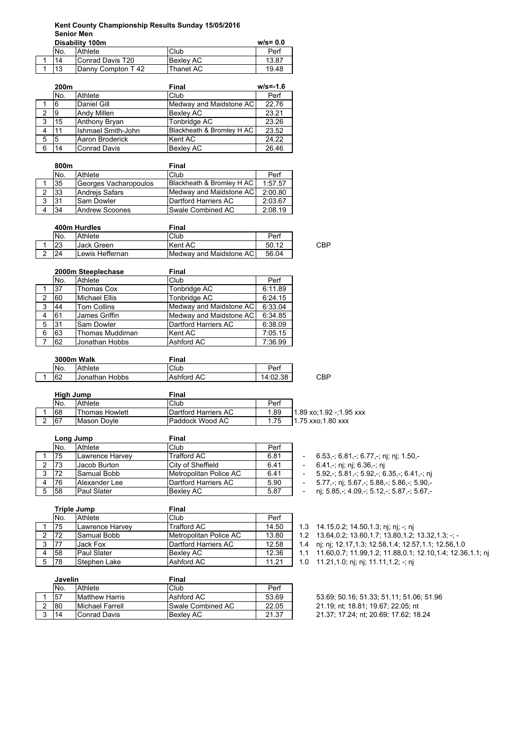# **Kent County Championship Results Sunday 15/05/2016 Senior Men**

| Disability 100m |                            |                  | $w/s = 0.0$ |
|-----------------|----------------------------|------------------|-------------|
| No.             | Athlete                    | Club             | Perf        |
| 14              | Conrad Davis T20           | <b>Bexley AC</b> | 13.87       |
| 13              | <b>IDanny Compton T 42</b> | lThanet AC       | 19.48       |

|   | 200m |                     | Final                     | $w/s = -1.6$ |
|---|------|---------------------|---------------------------|--------------|
|   | No.  | Athlete             | Club                      | Perf         |
|   | 6    | Daniel Gill         | Medway and Maidstone AC   | 22.76        |
| 2 | .9   | <b>Andy Millen</b>  | Bexley AC                 | 23.21        |
| 3 | 15   | Anthony Bryan       | Tonbridge AC              | 23.26        |
| 4 | 11   | Ishmael Smith-John  | Blackheath & Bromley H AC | 23.52        |
| 5 | 5    | Aaron Broderick     | Kent AC                   | 24.22        |
| 6 | 14   | <b>Conrad Davis</b> | Bexley AC                 | 26.46        |

|   | 800m |                       | Final                     |         |
|---|------|-----------------------|---------------------------|---------|
|   | No.  | Athlete               | Club                      | Perf    |
|   | 35   | Georges Vacharopoulos | Blackheath & Bromley H AC | 1:57.57 |
|   | 33   | <b>Andreis Safars</b> | Medway and Maidstone AC   | 2:00.80 |
| 2 | 31   | <b>Sam Dowler</b>     | Dartford Harriers AC      | 2:03.67 |
|   | 34   | Andrew Scoones        | Swale Combined AC         | 2:08.19 |

| 400m Hurdles |                 | Final                            |       |     |
|--------------|-----------------|----------------------------------|-------|-----|
| No.          | Athlete         | Club                             | Perf  |     |
|              | Jack Green      | Kent AC                          | 50.12 | CBP |
| 24           | Lewis Heffernan | <b>IMedway and Maidstone ACI</b> | 56.04 |     |

|   |     | 2000m Steeplechase   | <b>Final</b>            |         |
|---|-----|----------------------|-------------------------|---------|
|   | No. | Athlete              | Club                    | Perf    |
|   | 37  | <b>Thomas Cox</b>    | Tonbridge AC            | 6:11.89 |
| 2 | 60  | <b>Michael Ellis</b> | Tonbridge AC            | 6:24.15 |
| 3 | 44  | <b>Tom Collins</b>   | Medway and Maidstone AC | 6:33.04 |
| 4 | 61  | James Griffin        | Medway and Maidstone AC | 6:34.85 |
| 5 | 31  | Sam Dowler           | Dartford Harriers AC    | 6:38.09 |
| 6 | 63  | Thomas Muddiman      | Kent AC                 | 7:05.15 |
|   | 62  | Jonathan Hobbs       | Ashford AC              | 7:36.99 |

|  | <b>3000m Walk</b> |                 | Final             |          |     |
|--|-------------------|-----------------|-------------------|----------|-----|
|  | No.               | Athlete         | Club              | Perf     |     |
|  | 62                | IJonathan Hobbs | <b>Ashford AC</b> | 14:02.38 | CBP |

| High Jump |                       | Final                |      |                          |
|-----------|-----------------------|----------------------|------|--------------------------|
| No.       | Athlete               | <b>Club</b>          | Perf |                          |
| 68        | <b>Thomas Howlett</b> | Dartford Harriers AC | 1.89 | 11.89 xo:1.92 -:1.95 xxx |
| 67        | Mason Dovle           | Paddock Wood AC      | 1.75 | 1.75 xxo:1.80 xxx        |

|   | Long Jump |                 | Final                  |      |
|---|-----------|-----------------|------------------------|------|
|   | No.       | Athlete         | Club                   | Perf |
|   | 75        | Lawrence Harvey | <b>Trafford AC</b>     | 6.81 |
|   | 73        | Jacob Burton    | City of Sheffield      | 6.41 |
| 3 | 72        | Samual Bobb     | Metropolitan Police AC | 6.41 |
|   | 76        | Alexander Lee   | Dartford Harriers AC   | 5.90 |
| 5 | 58        | Paul Slater     | <b>Bexley AC</b>       | 5.87 |

 $-6.53, -$ ; 6.81,-; 6.77,-; nj; nj; 1.50,-

- $-6.41$ ,-; nj; nj; 6.36,-; nj
- $3 5.92, -$ ; 5.81,-; 5.92,-; 6.35,-; 6.41,-; nj
- 5.77,-; nj; 5.67,-; 5.88,-; 5.86,-; 5.90,-
- nj; 5.85,-; 4.09,-; 5.12,-; 5.87,-; 5.67,-

|   | <b>Triple Jump</b> |                 | <b>Final</b>           |       |  |  |  |
|---|--------------------|-----------------|------------------------|-------|--|--|--|
|   | No.                | Athlete         | Club                   | Perf  |  |  |  |
|   | 75                 | Lawrence Harvey | <b>Trafford AC</b>     | 14.50 |  |  |  |
|   | 72                 | Samual Bobb     | Metropolitan Police AC | 13.80 |  |  |  |
| 3 | 77                 | Jack Fox        | Dartford Harriers AC   | 12.58 |  |  |  |
|   | 58                 | Paul Slater     | <b>Bexlev AC</b>       | 12.36 |  |  |  |
| 5 | 78                 | Stephen Lake    | Ashford AC             | 11.21 |  |  |  |

|   | Javelin |                         | Final                    |       |
|---|---------|-------------------------|--------------------------|-------|
|   | No.     | Athlete                 | Club                     | Perf  |
|   | .57     | <b>Matthew Harris</b>   | Ashford AC               | 53.69 |
| ົ | 80      | <b>IMichael Farrell</b> | <b>Swale Combined AC</b> | 22.05 |
| વ | 14      | Conrad Davis            | Bexley AC                | 21.37 |

- 1.3  $14.15, 0.2$ ; 14.50,1.3; nj; nj; -; nj  $1.2$   $13.64, 0.2$ ;  $13.60, 1.7$ ;  $13.80, 1.2$ ;  $13.32, 1.3$ ; -; -
- 1.4 nj; nj; 12.17,1.3; 12.58,1.4; 12.57,1.1; 12.56,1.0
- 1.1 11.60,0.7; 11.99,1.2; 11.88,0.1; 12.10,1.4; 12.36,1.1; nj
- 1.0 11.21,1.0; nj; nj; 11.11,1.2; -; nj
- -
	- 1 57 Matthew Harris Ashford AC 53.69 53.69; 50.16; 51.33; 51.11; 51.06; 51.96
	- 21.19; nt; 18.81; 19.67; 22.05; nt
	- 21.37; 17.24; nt; 20.69; 17.62; 18.24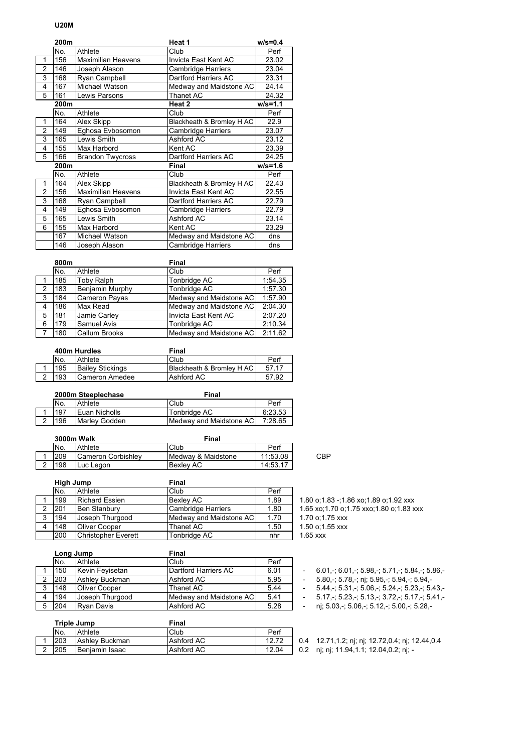#### **U20M**

|                | 200m |                           | Heat 1                    | $w/s = 0.4$ |
|----------------|------|---------------------------|---------------------------|-------------|
|                | No.  | Athlete                   | Club                      | Perf        |
| 1              | 156  | <b>Maximilian Heavens</b> | Invicta East Kent AC      | 23.02       |
| $\overline{2}$ | 146  | Joseph Alason             | Cambridge Harriers        | 23.04       |
| 3              | 168  | Ryan Campbell             | Dartford Harriers AC      | 23.31       |
| 4              | 167  | Michael Watson            | Medway and Maidstone AC   | 24.14       |
| 5              | 161  | Lewis Parsons             | Thanet AC                 | 24.32       |
|                | 200m |                           | Heat 2                    | $w/s = 1.1$ |
|                | No.  | Athlete                   | Club                      | Perf        |
| 1              | 164  | Alex Skipp                | Blackheath & Bromley H AC | 22.9        |
| $\overline{2}$ | 149  | Eghosa Evbosomon          | Cambridge Harriers        | 23.07       |
| 3              | 165  | Lewis Smith               | Ashford AC                | 23.12       |
| 4              | 155  | Max Harbord               | Kent AC                   | 23.39       |
| 5              | 166  | <b>Brandon Twycross</b>   | Dartford Harriers AC      | 24.25       |
|                | 200m |                           | Final                     | $w/s = 1.6$ |
|                | No.  | Athlete                   | Club                      | Perf        |
| 1              | 164  | Alex Skipp                | Blackheath & Bromley H AC | 22.43       |
| $\mathfrak{p}$ | 156  | <b>Maximilian Heavens</b> | Invicta East Kent AC      | 22.55       |
| 3              | 168  | Ryan Campbell             | Dartford Harriers AC      | 22.79       |
| 4              | 149  | Eghosa Evbosomon          | Cambridge Harriers        | 22.79       |
| 5              | 165  | Lewis Smith               | Ashford AC                | 23.14       |
| 6              | 155  | Max Harbord               | Kent AC                   | 23.29       |
|                | 167  | Michael Watson            | Medway and Maidstone AC   | dns         |
|                | 146  | Joseph Alason             | <b>Cambridge Harriers</b> | dns         |

|              | 800m |                      | <b>Final</b>            |         |
|--------------|------|----------------------|-------------------------|---------|
|              | No.  | Athlete              | Club                    | Perf    |
|              | 185  | <b>Toby Ralph</b>    | Tonbridge AC            | 1:54.35 |
| 2            | 183  | Benjamin Murphy      | Tonbridge AC            | 1:57.30 |
| 3            | 184  | Cameron Payas        | Medway and Maidstone AC | 1:57.90 |
| 4            | 186  | Max Read             | Medway and Maidstone AC | 2:04.30 |
| 5            | 181  | Jamie Carley         | Invicta East Kent AC    | 2:07.20 |
| 6            | 179  | Samuel Avis          | Tonbridge AC            | 2:10.34 |
| $\mathbf{7}$ | 180  | <b>Callum Brooks</b> | Medway and Maidstone AC | 2:11.62 |

|   | 400m Hurdles |                         | Final                     |       |  |
|---|--------------|-------------------------|---------------------------|-------|--|
|   | No.          | Athlete                 | Club                      | Perf  |  |
|   | 195          | <b>Bailev Stickings</b> | Blackheath & Bromley H AC | 57 17 |  |
| ົ | 193          | Cameron Amedee          | Ashford AC                | 57.92 |  |

| 2000m Steeplechase |               | Final                   |         |  |  |
|--------------------|---------------|-------------------------|---------|--|--|
| No.                | Athlete       | Club                    | Perf    |  |  |
| 197                | Euan Nicholls | Tonbridge AC            | 6:23.53 |  |  |
| 196                | Marley Godden | Medway and Maidstone AC | 7:28.65 |  |  |

|          | 3000m Walk |                    | Final              |          |     |
|----------|------------|--------------------|--------------------|----------|-----|
|          | No.        | Athlete            | Club               | Perf     |     |
|          | 209        | Cameron Corbishley | Medway & Maidstone | 11:53.08 | CBP |
| ີ<br>. . | 198        | Luc Leaon          | <b>Bexley AC</b>   | 14:53.17 |     |

|   | High Jump |                            | Final                   |      |               |
|---|-----------|----------------------------|-------------------------|------|---------------|
|   | No.       | Athlete                    | Club                    | Perf |               |
|   | 199       | <b>Richard Essien</b>      | <b>Bexlev AC</b>        | 1.89 | $1.80$ o; 1   |
| 2 | 201       | Ben Stanbury               | Cambridge Harriers      | 1.80 | $1.65 \times$ |
| 3 | 194       | Joseph Thurgood            | Medway and Maidstone AC | 1.70 | 1.70 o:1      |
| 4 | 148       | Oliver Cooper              | Thanet AC               | 1.50 | $1.50$ o:1    |
|   | 200       | <b>Christopher Everett</b> | Tonbridge AC            | nhr  | $1.65$ xxx    |

|   | Long Jump |                      | Final                     |      |  |                                                 |
|---|-----------|----------------------|---------------------------|------|--|-------------------------------------------------|
|   | No.       | Athlete              | Club                      | Perf |  |                                                 |
|   | 150       | Kevin Fevisetan      | Dartford Harriers AC      | 6.01 |  | $6.01 - 6.01 - 5.98 - 5.71 - 5.84 - 5.86$       |
|   | 203       | Ashley Buckman       | Ashford AC                | 5.95 |  | $5.80 - 5.78 -$ ni: $5.95 - 5.94 - 5.94 -$      |
|   | 148       | <b>Oliver Cooper</b> | Thanet AC                 | 5.44 |  | $5.44 - 5.31 - 5.06 - 5.24 - 5.23 - 5.43$       |
|   | 194       | Uoseph Thuraood      | Medway and Maidstone AC I | 5.41 |  | $5.17 - 5.23 - 5.13 - 3.72 - 5.17 - 5.41$       |
| 5 | 1204      | <b>Rvan Davis</b>    | Ashford AC                | 5.28 |  | nj; 5.03, -; 5.06, -; 5.12, -; 5.00, -; 5.28, - |

| Triple Jump |                       | Final      |       |  |                                         |
|-------------|-----------------------|------------|-------|--|-----------------------------------------|
| No.         | Athlete               | Club       | Perf  |  |                                         |
| 203         | <b>Ashley Buckman</b> | Ashford AC |       |  | 0.4 12.71,1.2; nj; nj; 12.72,0.4; nj; 1 |
| <b>205</b>  | <b>Beniamin Isaac</b> | Ashford AC | 12.04 |  | 0.2 nj; nj; 11.94,1.1; 12.04,0.2; nj; - |
|             |                       |            |       |  |                                         |

1.80 o;1.83 -;1.86 xo;1.89 o;1.92 xxx

1.65 xo;1.70 o;1.75 xxo;1.80 o;1.83 xxx

 $1.70$  o;1.75 xxx

1.50 o;1.55 xxx<br>1.65 xxx

 $-$  nj; 5.03,-; 5.06,-; 5.12,-; 5.00,-; 5.28,-

0.4 12.71,1.2; nj; nj; 12.72,0.4; nj; 12.44,0.4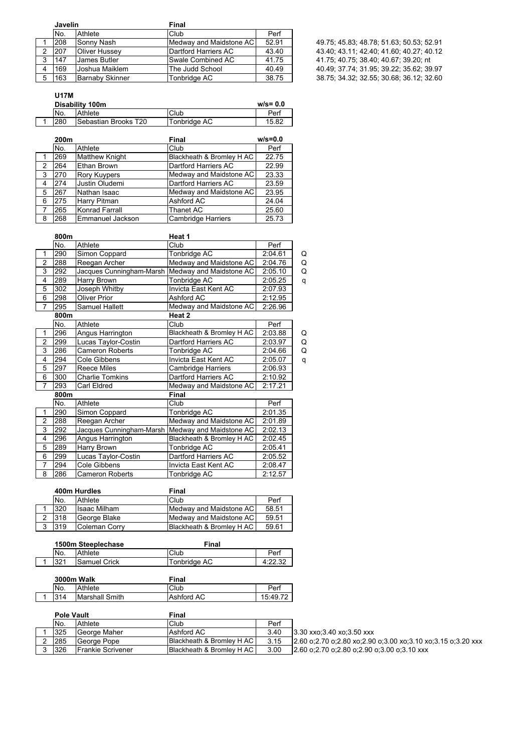| Javelin |                      | Final                     |       |                                          |
|---------|----------------------|---------------------------|-------|------------------------------------------|
| No.     | Athlete              | Club                      | Perf  |                                          |
| 208     | Sonny Nash           | Medwav and Maidstone AC I | 52.91 | 49.75; 45.83; 48.78; 51.63; 50.53; 52.91 |
| 207     | <b>Oliver Hussey</b> | Dartford Harriers AC      | 43.40 | 43.40; 43.11; 42.40; 41.60; 40.27; 40.12 |
| 147     | James Butler         | Swale Combined AC         | 41.75 | 41.75; 40.75; 38.40; 40.67; 39.20; nt    |
| 169     | Joshua Maiklem       | The Judd School           | 40.49 | 40.49; 37.74; 31.95; 39.22; 35.62; 39.97 |
| 163     | Barnaby Skinner      | Tonbridae AC              | 38.75 | 38.75; 34.32; 32.55; 30.68; 36.12; 32.60 |

## **U17M**

| $w/s = 0.0$<br>Disability 100m |      |                              |              |       |
|--------------------------------|------|------------------------------|--------------|-------|
|                                | No.  | Athlete                      | Club         | Perf  |
|                                | 1280 | <b>ISebastian Brooks T20</b> | Tonbridge AC | 15.82 |

|                | 200m |                       | $w/s = 0.0$<br>Final      |       |
|----------------|------|-----------------------|---------------------------|-------|
|                | No.  | Athlete               | Club                      | Perf  |
|                | 269  | <b>Matthew Knight</b> | Blackheath & Bromley H AC | 22.75 |
| $\overline{2}$ | 264  | Ethan Brown           | Dartford Harriers AC      | 22.99 |
| 3              | 270  | <b>Rory Kuypers</b>   | Medway and Maidstone AC   | 23.33 |
| 4              | 274  | Justin Oludemi        | Dartford Harriers AC      | 23.59 |
| 5              | 267  | Nathan Isaac          | Medway and Maidstone AC   | 23.95 |
| 6              | 275  | Harry Pitman          | Ashford AC                | 24.04 |
| $\overline{7}$ | 265  | Konrad Farrall        | Thanet AC                 | 25.60 |
| 8              | 268  | Emmanuel Jackson      | <b>Cambridge Harriers</b> | 25.73 |

|                | 800m |                          | Heat 1                    |         |   |
|----------------|------|--------------------------|---------------------------|---------|---|
|                | No.  | Athlete                  | Club                      | Perf    |   |
| 1              | 290  | Simon Coppard            | Tonbridge AC              | 2:04.61 | Q |
| 2              | 288  | Reegan Archer            | Medway and Maidstone AC   | 2:04.76 | Q |
| 3              | 292  | Jacques Cunningham-Marsh | Medway and Maidstone AC   | 2:05.10 | Q |
| 4              | 289  | Harry Brown              | Tonbridge AC              | 2:05.25 | q |
| 5              | 302  | Joseph Whitby            | Invicta East Kent AC      | 2:07.93 |   |
| 6              | 298  | Oliver Prior             | Ashford AC                | 2:12.95 |   |
| 7              | 295  | Samuel Hallett           | Medway and Maidstone AC   | 2:26.96 |   |
|                | 800m |                          | Heat 2                    |         |   |
|                | No.  | Athlete                  | Club                      | Perf    |   |
| 1              | 296  | Angus Harrington         | Blackheath & Bromley H AC | 2:03.88 | Q |
| 2              | 299  | Lucas Taylor-Costin      | Dartford Harriers AC      | 2:03.97 | Q |
| 3              | 286  | Cameron Roberts          | Tonbridge AC              | 2:04.66 | Q |
| 4              | 294  | Cole Gibbens             | Invicta East Kent AC      | 2:05.07 | q |
| 5              | 297  | <b>Reece Miles</b>       | Cambridge Harriers        | 2:06.93 |   |
| 6              | 300  | Charlie Tomkins          | Dartford Harriers AC      | 2:10.92 |   |
| $\overline{7}$ | 293  | Carl Eldred              | Medway and Maidstone AC   | 2:17.21 |   |
|                | 800m |                          | <b>Final</b>              |         |   |
|                | No.  | Athlete                  | Club                      | Perf    |   |
| 1              | 290  | Simon Coppard            | Tonbridge AC              | 2:01.35 |   |
| 2              | 288  | Reegan Archer            | Medway and Maidstone AC   | 2:01.89 |   |
| 3              | 292  | Jacques Cunningham-Marsh | Medway and Maidstone AC   | 2:02.13 |   |
| 4              | 296  | Angus Harrington         | Blackheath & Bromley H AC | 2:02.45 |   |
| 5              | 289  | Harry Brown              | Tonbridge AC              | 2:05.41 |   |
| 6              | 299  | Lucas Taylor-Costin      | Dartford Harriers AC      | 2:05.52 |   |
| $\overline{7}$ | 294  | <b>Cole Gibbens</b>      | Invicta East Kent AC      | 2:08.47 |   |
| 8              | 286  | <b>Cameron Roberts</b>   | Tonbridge AC              | 2:12.57 |   |

|   | 400m Hurdles |                     | Final                     |       |  |
|---|--------------|---------------------|---------------------------|-------|--|
|   | No.          | Athlete             | Club                      | Perf  |  |
|   | 320          | <b>Isaac Milham</b> | Medway and Maidstone AC   | 58.51 |  |
| າ | 318          | George Blake        | Medway and Maidstone AC   | 59.51 |  |
| 3 | 319          | Coleman Corry       | Blackheath & Bromley H AC | 59.61 |  |

|     | 1500m Steeplechase | Final        |         |
|-----|--------------------|--------------|---------|
| No. | Athlete            | Club         | Perf    |
| 021 | Samuel Crick       | Tonbridge AC | 4:22.32 |

| 3000m Walk |                | Final      |          |
|------------|----------------|------------|----------|
| No.        | Athlete        | Club       | Pert     |
| 314        | Marshall Smith | Ashford AC | 15:49.72 |

| <b>Pole Vault</b> |                           | Final                       |      |                                                              |
|-------------------|---------------------------|-----------------------------|------|--------------------------------------------------------------|
| No.               | Athlete                   | Club                        | Perf |                                                              |
| 325               | George Maher              | Ashford AC                  | 3.40 | 13.30 xxo:3.40 xo:3.50 xxx                                   |
| 285               | George Pope               | Blackheath & Bromley H AC I | 3.15 | 2.60 o:2.70 o:2.80 xo:2.90 o:3.00 xo:3.10 xo:3.15 o:3.20 xxx |
| 326               | <b>IFrankie Scrivener</b> | Blackheath & Bromley H AC   | 3.00 | $[2.60 \text{ o}$ :2.70 o:2.80 o:2.90 o:3.00 o:3.10 xxx      |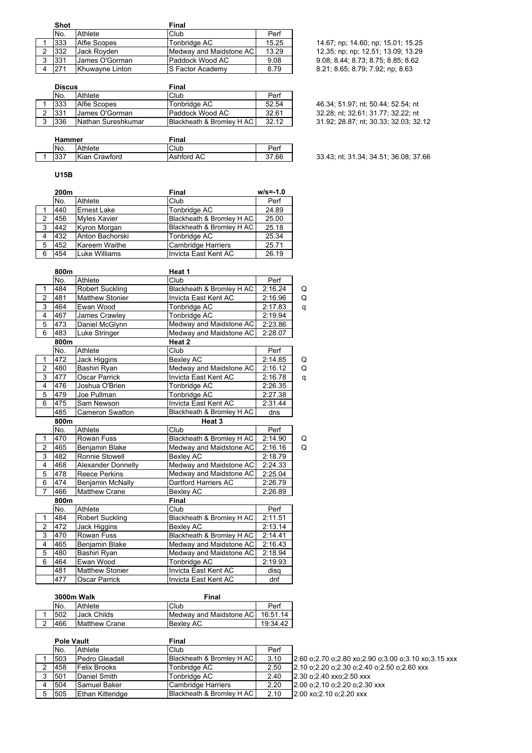| <b>Shot</b> |                       | Final                     |       |                                    |
|-------------|-----------------------|---------------------------|-------|------------------------------------|
| No.         | Athlete               | Club                      | Perf  |                                    |
| 333         | Alfie Scopes          | Tonbridge AC              | 15.25 | 14.67; np; 14.60; np; 15.01; 15.25 |
| 332         | Jack Rovden           | Medway and Maidstone AC I | 13.29 | 12.35; np; np; 12.51; 13.09; 13.29 |
| 331         | <b>James O'Gorman</b> | Paddock Wood AC           | 9.08  | 9.08; 8.44; 8.73; 8.75; 8.85; 8.62 |
| 271         | Khuwavne Linton       | <b>IS Factor Academy</b>  | 8.79  | 8.21; 8.65; 8.79; 7.92; np; 8.63   |

| <b>Discus</b> |                    | Final                     |       |  |
|---------------|--------------------|---------------------------|-------|--|
| No.           | Athlete            | Club                      | Perf  |  |
| 333           | Alfie Scopes       | Tonbridge AC              | 52.54 |  |
| 331           | James O'Gorman     | Paddock Wood AC           | 32.61 |  |
| 336           | Nathan Sureshkumar | Blackheath & Bromley H AC | 32 12 |  |
|               |                    |                           |       |  |

46.34; 51.97; nt; 50.44; 52.54; nt 32.28; nt; 32.61; 31.77; 32.22; nt 31.92; 28.87; nt; 30.33; 32.03; 32.12

|  | Hammer |               | Final      |       |
|--|--------|---------------|------------|-------|
|  | No.    | Athlete       | Club       | Pe⊓   |
|  | דפפו   | Kian Crawford | Ashford AC | 37.66 |
|  |        |               |            |       |

33.43; nt; 31.34; 34.51; 36.08; 37.66

### **U15B**

|   | 200m |                     | Final                     | $w/s = -1.0$ |
|---|------|---------------------|---------------------------|--------------|
|   | No.  | Athlete             | Club                      | Perf         |
|   | 440  | Ernest Lake         | Tonbridge AC              | 24.89        |
| 2 | 456  | <b>Myles Xavier</b> | Blackheath & Bromley H AC | 25.00        |
| 3 | 442  | Kyron Morgan        | Blackheath & Bromley H AC | 25.18        |
| 4 | 432  | Anton Bachorski     | Tonbridge AC              | 25.34        |
| 5 | 452  | Kareem Waithe       | <b>Cambridge Harriers</b> | 25.71        |
| 6 | 454  | Luke Williams       | Invicta East Kent AC      | 26.19        |

|                         | 800m |                           | Heat 1                      |         |   |
|-------------------------|------|---------------------------|-----------------------------|---------|---|
|                         | No.  | Athlete                   | Club                        | Perf    |   |
| 1                       | 484  | <b>Robert Suckling</b>    | Blackheath & Bromley H AC   | 2:16.24 | Q |
| $\overline{2}$          | 481  | <b>Matthew Stonier</b>    | Invicta East Kent AC        | 2:16.96 | Q |
| 3                       | 464  | Ewan Wood                 | Tonbridge AC                | 2:17.83 | q |
| $\overline{\mathbf{4}}$ | 467  | James Crawley             | Tonbridge AC                | 2:19.94 |   |
| 5                       | 473  | Daniel McGlynn            | Medway and Maidstone AC     | 2:23.86 |   |
| 6                       | 483  | Luke Stringer             | Medway and Maidstone AC     | 2:28.07 |   |
|                         | 800m |                           | Heat 2                      |         |   |
|                         | No.  | Athlete                   | Club                        | Perf    |   |
| $\mathbf{1}$            | 472  | Jack Higgins              | <b>Bexley AC</b>            | 2:14.85 | Q |
| $\overline{c}$          | 480  | Bashiri Ryan              | Medway and Maidstone AC     | 2:16.12 | Q |
| $\overline{3}$          | 477  | <b>Oscar Parrick</b>      | Invicta East Kent AC        | 2:16.78 | q |
| 4                       | 476  | Joshua O'Brien            | Tonbridge AC                | 2:26.35 |   |
| $\overline{5}$          | 479  | Joe Pullman               | Tonbridge AC                | 2:27.38 |   |
| 6                       | 475  | Sam Newson                | <b>Invicta East Kent AC</b> | 2:31.44 |   |
|                         | 485  | <b>Cameron Swatton</b>    | Blackheath & Bromley H AC   | dns     |   |
|                         | 800m |                           | Heat <sub>3</sub>           |         |   |
|                         | No.  | Athlete                   | Club                        | Perf    |   |
| 1                       | 470  | Rowan Fuss                | Blackheath & Bromley H AC   | 2:14.90 | Q |
| $\overline{2}$          | 465  | Benjamin Blake            | Medway and Maidstone AC     | 2:16.16 | Q |
| 3                       | 482  | Ronnie Stowell            | Bexley AC                   | 2:18.79 |   |
| $\overline{\mathbf{4}}$ | 468  | <b>Alexander Donnelly</b> | Medway and Maidstone AC     | 2:24.33 |   |
| 5                       | 478  | <b>Reece Perkins</b>      | Medway and Maidstone AC     | 2:25.04 |   |
| $\overline{6}$          | 474  | Benjamin McNally          | Dartford Harriers AC        | 2:26.79 |   |
| $\overline{7}$          | 466  | <b>Matthew Crane</b>      | Bexley AC                   | 2:26.89 |   |
|                         | 800m |                           | Final                       |         |   |
|                         | No.  | Athlete                   | Club                        | Perf    |   |
| 1                       | 484  | <b>Robert Suckling</b>    | Blackheath & Bromley H AC   | 2:11.51 |   |
| $\overline{2}$          | 472  | Jack Higgins              | Bexley AC                   | 2:13.14 |   |
| 3                       | 470  | Rowan Fuss                | Blackheath & Bromley H AC   | 2:14.41 |   |
| $\overline{4}$          | 465  | Benjamin Blake            | Medway and Maidstone AC     | 2:16.43 |   |
| 5                       | 480  | Bashiri Ryan              | Medway and Maidstone AC     | 2:18.94 |   |
| 6                       | 464  | Ewan Wood                 | Tonbridge AC                | 2:19.93 |   |
|                         | 481  | <b>Matthew Stonier</b>    | Invicta East Kent AC        | disq    |   |
|                         | 477  | <b>Oscar Parrick</b>      | Invicta East Kent AC        | dnf     |   |

| 3000m Walk |                       | Final                   |          |
|------------|-----------------------|-------------------------|----------|
| No.        | Athlete               | Club                    | Perf     |
| 502        | Jack Childs           | Medway and Maidstone AC | 16:51.14 |
| 466        | <b>IMatthew Crane</b> | Bexlev AC               | 19:34.42 |

| <b>Pole Vault</b> |                     | Final                       |      |                                                            |
|-------------------|---------------------|-----------------------------|------|------------------------------------------------------------|
| No.               | Athlete             | Club                        | Perf |                                                            |
| 503               | Pedro Gleadall      | Blackheath & Bromley H AC I | 3.10 | 2.60 o; 2.70 o; 2.80 xo; 2.90 o; 3.00 o; 3.10 xo; 3.15 xxx |
| 458               | Felix Brooks        | Tonbridge AC                | 2.50 | 2.10 o:2.20 o:2.30 o:2.40 o:2.50 o:2.60 xxx                |
| 501               | Daniel Smith        | Tonbridge AC                | 2.40 | $ 2.30$ o; $2.40$ xxo; $2.50$ xxx                          |
| 504               | <b>Samuel Baker</b> | Cambridge Harriers          | 2.20 | 2.00 o; 2.10 o; 2.20 o; 2.30 xxx                           |
| 505               | Ethan Kitteridge    | Blackheath & Bromley H AC   | 2.10 | 2.00 xo: 2.10 o: 2.20 xxx                                  |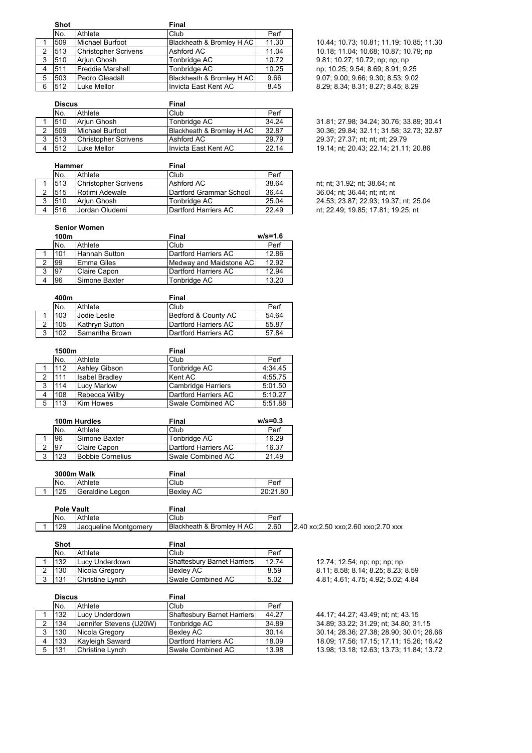|   | <b>Shot</b> |                             | Final                     |       |
|---|-------------|-----------------------------|---------------------------|-------|
|   | No.         | Athlete                     | Club                      | Perf  |
|   | 509         | Michael Burfoot             | Blackheath & Bromley H AC | 11.30 |
| 2 | 513         | <b>Christopher Scrivens</b> | Ashford AC                | 11.04 |
| 3 | 510         | Arjun Ghosh                 | Tonbridge AC              | 10.72 |
| 4 | 511         | <b>Freddie Marshall</b>     | Tonbridge AC              | 10.25 |
| 5 | 503         | Pedro Gleadall              | Blackheath & Bromley H AC | 9.66  |
| 6 | 512         | Luke Mellor                 | Invicta East Kent AC      | 8.45  |

|   | <b>Discus</b> |                             | Final                     |       |
|---|---------------|-----------------------------|---------------------------|-------|
|   | No.           | Athlete                     | Club                      | Perf  |
|   | 510           | Ariun Ghosh                 | Tonbridge AC              | 34.24 |
|   | 509           | <b>Michael Burfoot</b>      | Blackheath & Bromley H AC | 32.87 |
| 3 | 513           | <b>Christopher Scrivens</b> | Ashford AC                | 29.79 |
|   | 512           | Luke Mellor                 | Invicta East Kent AC      | 22.14 |

|   | <b>Hammer</b> |                      | Final                   |       |
|---|---------------|----------------------|-------------------------|-------|
|   | No.           | Athlete              | Club                    | Perf  |
|   | 513           | Christopher Scrivens | Ashford AC              | 38.64 |
|   | 515           | Rotimi Adewale       | Dartford Grammar School | 36.44 |
| 3 | 510           | Ariun Ghosh          | Tonbridge AC            | 25.04 |
|   | 516           | Jordan Oludemi       | Dartford Harriers AC    | 22.49 |

10.44; 10.73; 10.81; 11.19; 10.85; 11.30 2 513 Christopher Scrivens Ashford AC 11.04 10.18; 11.04; 10.68; 10.87; 10.79; np 9.81; 10.27; 10.72; np; np; np np; 10.25; 9.54; 8.69; 8.91; 9.25 5 503 Pedro Gleadall Blackheath & Bromley H AC 9.66 9.07; 9.00; 9.66; 9.30; 8.53; 9.02 8.29; 8.34; 8.31; 8.27; 8.45; 8.29

1 510 Arjun Ghosh Tonbridge AC 34.24 31.81; 27.98; 34.24; 30.76; 33.89; 30.41 2 509 Michael Burfoot Blackheath & Bromley H AC 32.87 30.36; 29.84; 32.11; 31.58; 32.73; 32.87 29.37; 27.37; nt; nt; nt; 29.79 19.14; nt; 20.43; 22.14; 21.11; 20.86

nt: nt: 31.92; nt: 38.64; nt 36.04; nt; 36.44; nt; nt; nt 24.53; 23.87; 22.93; 19.37; nt; 25.04 nt; 22.49; 19.85; 17.81; 19.25; nt

#### **Senior Women**

|   | 100 <sub>m</sub> |                     | Final                   | $w/s = 1.6$ |
|---|------------------|---------------------|-------------------------|-------------|
|   | No.              | Athlete             | Club                    | Perf        |
|   | 101              | Hannah Sutton       | Dartford Harriers AC    | 12.86       |
|   | 99               | Emma Giles          | Medway and Maidstone AC | 12.92       |
| ິ | 197              | <b>Claire Capon</b> | Dartford Harriers AC    | 12.94       |
|   | 96               | Simone Baxter       | Tonbridge AC            | 13.20       |

|   | 400m |                      | Final                |       |
|---|------|----------------------|----------------------|-------|
|   | No.  | Athlete              | Club                 | Perf  |
|   | 103  | <b>IJodie Leslie</b> | Bedford & County AC  | 54.64 |
|   | 105  | Kathryn Sutton       | Dartford Harriers AC | 55.87 |
| 3 | 102  | Samantha Brown       | Dartford Harriers AC | 57.84 |

|   | 1500m |                       | Final                     |         |  |
|---|-------|-----------------------|---------------------------|---------|--|
|   | No.   | Athlete               | Club                      | Perf    |  |
|   | 112   | Ashley Gibson         | Tonbridge AC              | 4:34.45 |  |
| 2 | 111   | <b>Isabel Bradley</b> | Kent AC                   | 4:55.75 |  |
| 3 | 114   | <b>Lucy Marlow</b>    | <b>Cambridge Harriers</b> | 5:01.50 |  |
| 4 | 108   | Rebecca Wilby         | Dartford Harriers AC      | 5:10.27 |  |
| 5 | 113   | <b>Kim Howes</b>      | Swale Combined AC         | 5:51.88 |  |

|        | 100m Hurdles |                         | Final                | $w/s = 0.3$ |
|--------|--------------|-------------------------|----------------------|-------------|
|        | No.          | Athlete                 | Club                 | Perf        |
|        | 96           | Simone Baxter           | Tonbridge AC         | 16.29       |
|        | <b>97</b>    | Claire Capon            | Dartford Harriers AC | 16.37       |
| ີ<br>ت | 123          | <b>Bobbie Cornelius</b> | Swale Combined AC    | 21.49       |

| <b>3000m Walk</b> |                 | Final            |          |  |
|-------------------|-----------------|------------------|----------|--|
| No.               | Athlete         | Club             | Perf     |  |
| 125               | Geraldine Legon | <b>Bexley AC</b> | 20:21.80 |  |

| <b>Pole Vault</b> |                              | ≂inal                     |      |                                    |
|-------------------|------------------------------|---------------------------|------|------------------------------------|
| INo.              | Athlete                      | Club                      | Perf |                                    |
| 129               | <b>Jacqueline Montgomery</b> | Blackheath & Bromley H AC | 2.60 | 2.40 xo:2.50 xxo:2.60 xxo:2.70 xxx |

| Shot |                        | Final                              |       |                                    |
|------|------------------------|------------------------------------|-------|------------------------------------|
| No.  | Athlete                | Club                               | Perf  |                                    |
| 132  | Lucy Underdown         | <b>Shaftesbury Barnet Harriers</b> | 12.74 | 12.74; 12.54; np; np; np; np       |
| 130  | Nicola Gregory         | Bexlev AC                          | 8.59  | 8.11; 8.58; 8.14; 8.25; 8.23; 8.59 |
| 131  | <b>Christine Lynch</b> | Swale Combined AC                  | 5.02  | 4.81; 4.61; 4.75; 4.92; 5.02; 4.84 |

|   | <b>Discus</b> |                         | Final                       |       |  |
|---|---------------|-------------------------|-----------------------------|-------|--|
|   | No.           | Athlete                 | Club                        | Perf  |  |
|   | 132           | Lucy Underdown          | Shaftesbury Barnet Harriers | 44.27 |  |
|   | 134           | Jennifer Stevens (U20W) | Tonbridge AC                | 34.89 |  |
| 3 | 130           | Nicola Gregory          | <b>Bexlev AC</b>            | 30.14 |  |
| 4 | 133           | Kayleigh Saward         | Dartford Harriers AC        | 18.09 |  |
|   | 131           | Christine Lynch         | <b>ISwale Combined AC</b>   | 13.98 |  |

| 12.74; 12.54; np; np; np; np       |
|------------------------------------|
| 8.11; 8.58; 8.14; 8.25; 8.23; 8.59 |
| 4.81; 4.61; 4.75; 4.92; 5.02; 4.84 |

44.17; 44.27; 43.49; nt; nt; 43.15 34.89; 33.22; 31.29; nt; 34.80; 31.15 3 130 Nicola Gregory Bexley AC 30.14 30.14; 28.36; 27.38; 28.90; 30.01; 26.66 18.09; 17.56; 17.15; 17.11; 15.26; 16.42 13.98; 13.18; 12.63; 13.73; 11.84; 13.72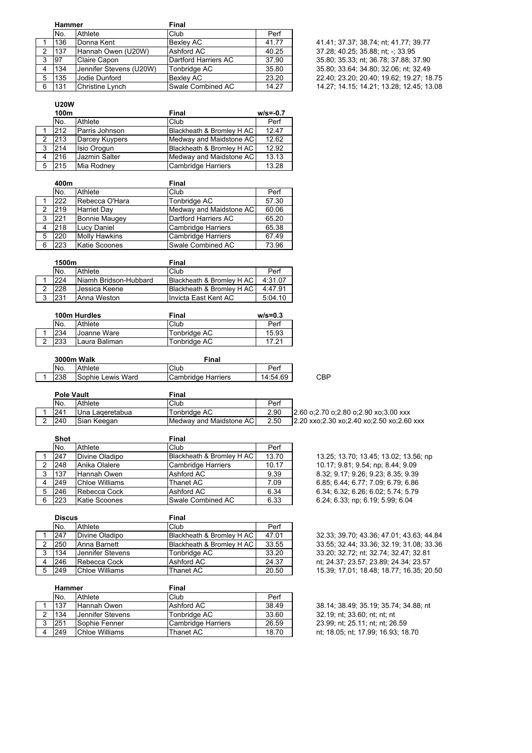|   | <b>Hammer</b> |                         | Final                |       |                                          |
|---|---------------|-------------------------|----------------------|-------|------------------------------------------|
|   | No.           | Athlete                 | Club                 | Perf  |                                          |
|   | 136           | Donna Kent              | <b>Bexlev AC</b>     | 41.77 | 41.41; 37.37; 38.74; nt; 41.77; 39.77    |
|   | 137           | Hannah Owen (U20W)      | Ashford AC           | 40.25 | 37.28; 40.25; 35.88; nt; -; 33.95        |
| 3 | 97            | Claire Capon            | Dartford Harriers AC | 37.90 | 35.80; 35.33; nt; 36.78; 37.88; 37.90    |
|   | 134           | Jennifer Stevens (U20W) | Tonbridge AC         | 35.80 | 35.80; 33.64; 34.80; 32.06; nt; 32.49    |
|   | 135           | Jodie Dunford           | <b>Bexlev AC</b>     | 23.20 | 22.40; 23.20; 20.40; 19.62; 19.27; 18.75 |
|   | 131           | Christine Lynch         | Swale Combined AC    | 14.27 | 14.27; 14.15; 14.21; 13.28; 12.45; 13.08 |

| 41.41; 37.37; 38.74; nt; 41.77; 39.77    |
|------------------------------------------|
| 37.28: 40.25: 35.88: nt: -: 33.95        |
| 35.80; 35.33; nt; 36.78; 37.88; 37.90    |
| 35.80; 33.64; 34.80; 32.06; nt; 32.49    |
| 22.40; 23.20; 20.40; 19.62; 19.27; 18.75 |
| 14.27; 14.15; 14.21; 13.28; 12.45; 13.08 |

### **U20W**

|   | 100m |                | Final                     | $w/s = -0.7$ |
|---|------|----------------|---------------------------|--------------|
|   | No.  | Athlete        | Club                      | Perf         |
|   | 212  | Parris Johnson | Blackheath & Bromley H AC | 12.47        |
| 2 | 213  | Darcey Kuypers | Medway and Maidstone AC   | 12.62        |
| 3 | 214  | Isio Orogun    | Blackheath & Bromley H AC | 12.92        |
| 4 | 216  | Jazmin Salter  | Medway and Maidstone AC   | 13.13        |
| 5 | 215  | Mia Rodney     | Cambridge Harriers        | 13.28        |

|                | 400m |                      | Final                     |       |  |
|----------------|------|----------------------|---------------------------|-------|--|
|                | No.  | Athlete              | Club                      | Perf  |  |
|                | 222  | Rebecca O'Hara       | Tonbridge AC              | 57.30 |  |
| 2              | 219  | <b>Harriet Day</b>   | Medway and Maidstone AC   | 60.06 |  |
| 3              | 221  | <b>Bonnie Maugey</b> | Dartford Harriers AC      | 65.20 |  |
| $\overline{4}$ | 218  | <b>Lucy Daniel</b>   | Cambridge Harriers        | 65.38 |  |
| 5              | 220  | <b>Molly Hawkins</b> | <b>Cambridge Harriers</b> | 67.49 |  |
| 6              | 223  | <b>Katie Scoones</b> | Swale Combined AC         | 73.96 |  |

|   | 1500m |                       | Final                      |         |  |
|---|-------|-----------------------|----------------------------|---------|--|
|   | No.   | Athlete               | Club                       | Perf    |  |
|   | 224   | Niamh Bridson-Hubbard | Blackheath & Bromley H AC  | 4:31.07 |  |
|   | 228   | Jessica Keene         | IBlackheath & Bromlev H AC | 4:47.91 |  |
| 3 | 231   | Anna Weston           | Ilnvicta East Kent AC      | 5:04.10 |  |

|     | 100m Hurdles  | Final        | $w/s = 0.3$ |  |
|-----|---------------|--------------|-------------|--|
| No. | Athlete       | Club         | Perf        |  |
| 234 | Joanne Ware   | Tonbridge AC | 15.93       |  |
| 233 | Laura Baliman | Tonbridge AC | 17.21       |  |

|  | 3000m Walk |                   | Final              |          |     |
|--|------------|-------------------|--------------------|----------|-----|
|  | No.        | Athlete           | Club               | Perf     |     |
|  | 238        | Sophie Lewis Ward | Cambridge Harriers | 14:54.69 | CBP |

| <b>Pole Vault</b> |                 | Final                     |      |                                           |
|-------------------|-----------------|---------------------------|------|-------------------------------------------|
| No.<br>Athlete    |                 | Club                      | Perf |                                           |
| 241               | Una Lageretabua | Tonbridge AC              | 2.90 | 2.60 o:2.70 o:2.80 o:2.90 xo:3.00 xxx     |
| 240               | Sian Keegan     | Medway and Maidstone AC I | 2.50 | 2.20 xxo:2.30 xo:2.40 xo:2.50 xo:2.60 xxx |

|   | <b>Shot</b> |                       | Final                     |       |
|---|-------------|-----------------------|---------------------------|-------|
|   | No.         | Athlete               | Club                      | Perf  |
|   | 247         | Divine Oladipo        | Blackheath & Bromley H AC | 13.70 |
| 2 | 248         | Anika Olalere         | <b>Cambridge Harriers</b> | 10.17 |
| 3 | 137         | Hannah Owen           | Ashford AC                | 9.39  |
| 4 | 249         | <b>Chloe Williams</b> | Thanet AC                 | 7.09  |
| 5 | 246         | Rebecca Cock          | Ashford AC                | 6.34  |
| 6 | 223         | Katie Scoones         | Swale Combined AC         | 6.33  |

13.25; 13.70; 13.45; 13.02; 13.56; np 10.17; 9.81; 9.54; np; 8.44; 9.09 8.32; 9.17; 9.26; 9.23; 8.35; 9.39 6 85; 6.44; 6.77; 7.09; 6.79; 6.86 6.34; 6.32; 6.26; 6.02; 5.74; 5.79 6 24; 6.33; np; 6.19; 5.99; 6.04

| <b>Discus</b> |                     | Final                     |       |                                          |
|---------------|---------------------|---------------------------|-------|------------------------------------------|
| No.           | Athlete             | Club                      | Perf  |                                          |
| 247           | Divine Oladipo      | Blackheath & Bromley H AC | 47.01 | 32.33: 39.70: 43.36: 47.01: 43.63: 44.84 |
| l250          | <b>Anna Barnett</b> | Blackheath & Bromlev H AC | 33.55 | 33.55: 32.44: 33.36: 32.19: 31.08: 33.36 |
| 134           | Uennifer Stevens    | Tonbridge AC              | 33.20 | 33.20; 32.72; nt; 32.74; 32.47; 32.81    |
| 246           | Rebecca Cock        | Ashford AC                | 24.37 | nt; 24.37; 23.57; 23.89; 24.34; 23.57    |
| 249           | Chloe Williams      | Thanet AC                 | 20.50 | 15.39; 17.01; 18.48; 18.77; 16.35; 20.50 |

|   | <b>Hammer</b> |                         | Final              |       |  |
|---|---------------|-------------------------|--------------------|-------|--|
|   | No.           | Athlete                 | Club               | Perf  |  |
|   | 137           | Hannah Owen             | Ashford AC         | 38.49 |  |
|   | 134           | <b>Jennifer Stevens</b> | Tonbridge AC       | 33.60 |  |
| 3 | 251           | Sophie Fenner           | Cambridge Harriers | 26.59 |  |
|   | 249           | <b>Chloe Williams</b>   | Thanet AC          | 18.70 |  |

38.14; 38.49; 35.19; 35.74; 34.88; nt 32.19; nt; 33.60; nt; nt; nt 23.99; nt; 25.11; nt; nt; 26.59 nt; 18.05; nt; 17.99; 16.93; 18.70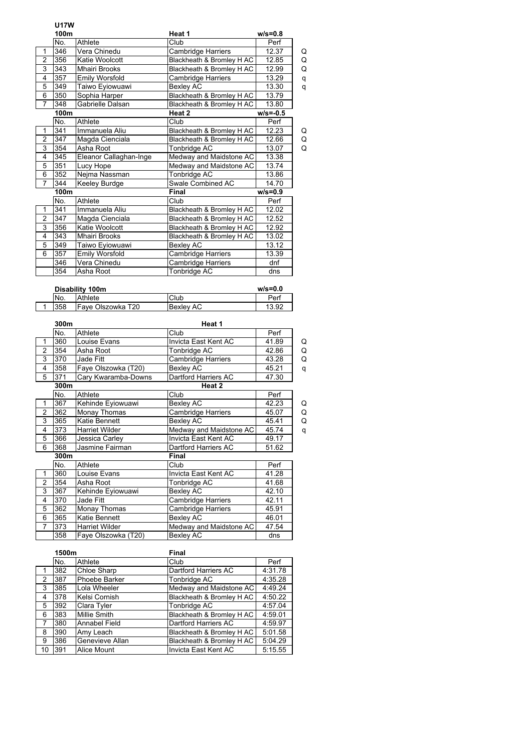# **U17W**

|                | 100m |                        | Heat 1                    | $w/s = 0.8$  |   |
|----------------|------|------------------------|---------------------------|--------------|---|
|                | No.  | Athlete                | Club                      | Perf         |   |
| 1              | 346  | Vera Chinedu           | Cambridge Harriers        | 12.37        | Q |
| $\overline{2}$ | 356  | Katie Woolcott         | Blackheath & Bromley H AC | 12.85        | Q |
| 3              | 343  | <b>Mhairi Brooks</b>   | Blackheath & Bromley H AC | 12.99        | Q |
| 4              | 357  | Emily Worsfold         | Cambridge Harriers        | 13.29        | q |
| 5              | 349  | Taiwo Eyiowuawi        | Bexley AC                 | 13.30        | q |
| 6              | 350  | Sophia Harper          | Blackheath & Bromley H AC | 13.79        |   |
| $\overline{7}$ | 348  | Gabrielle Dalsan       | Blackheath & Bromley H AC | 13.80        |   |
|                | 100m |                        | Heat 2                    | $w/s = -0.5$ |   |
|                | No.  | Athlete                | Club                      | Perf         |   |
| $\mathbf{1}$   | 341  | Immanuela Aliu         | Blackheath & Bromley H AC | 12.23        | Q |
| $\overline{2}$ | 347  | Magda Cienciala        | Blackheath & Bromley H AC | 12.66        | Q |
| 3              | 354  | Asha Root              | Tonbridge AC              | 13.07        | Q |
| 4              | 345  | Eleanor Callaghan-Inge | Medway and Maidstone AC   | 13.38        |   |
| 5              | 351  | Lucy Hope              | Medway and Maidstone AC   | 13.74        |   |
| 6              | 352  | Nejma Nassman          | Tonbridge AC              | 13.86        |   |
| $\overline{7}$ | 344  | Keeley Burdge          | Swale Combined AC         | 14.70        |   |
|                | 100m |                        | Final                     | $w/s = 0.9$  |   |
|                | No.  | Athlete                | Club                      | Perf         |   |
| $\mathbf{1}$   | 341  | Immanuela Aliu         | Blackheath & Bromley H AC | 12.02        |   |
| $\overline{2}$ | 347  | Magda Cienciala        | Blackheath & Bromley H AC | 12.52        |   |
| 3              | 356  | Katie Woolcott         | Blackheath & Bromley H AC | 12.92        |   |
| 4              | 343  | <b>Mhairi Brooks</b>   | Blackheath & Bromley H AC | 13.02        |   |
| 5              | 349  | Taiwo Eyiowuawi        | Bexley AC                 | 13.12        |   |
| 6              | 357  | <b>Emily Worsfold</b>  | Cambridge Harriers        | 13.39        |   |
|                | 346  | Vera Chinedu           | Cambridge Harriers        | dnf          |   |
|                | 354  | Asha Root              | Tonbridge AC              | dns          |   |

| Disability 100m |                   |                  | $w/s = 0.0$ |
|-----------------|-------------------|------------------|-------------|
| No.             | Athlete           | Club             | Perf        |
| 358             | Fave Olszowka T20 | <b>Bexley AC</b> | 13.92       |
|                 |                   |                  |             |

|                         | 300m |                     | Heat 1                  |       |   |  |
|-------------------------|------|---------------------|-------------------------|-------|---|--|
|                         | No.  | Athlete             | Club                    | Perf  |   |  |
| 1                       | 360  | Louise Evans        | Invicta East Kent AC    | 41.89 | Q |  |
| $\overline{2}$          | 354  | Asha Root           | Tonbridge AC            | 42.86 | Q |  |
| 3                       | 370  | Jade Fitt           | Cambridge Harriers      | 43.28 | Q |  |
| $\overline{\mathbf{4}}$ | 358  | Faye Olszowka (T20) | Bexley AC               | 45.21 | q |  |
| 5                       | 371  | Cary Kwaramba-Downs | Dartford Harriers AC    | 47.30 |   |  |
|                         | 300m |                     | Heat 2                  |       |   |  |
|                         | No.  | Athlete             | Club                    | Perf  |   |  |
| 1                       | 367  | Kehinde Eyiowuawi   | Bexley AC               | 42.23 | Q |  |
| 2                       | 362  | Monay Thomas        | Cambridge Harriers      | 45.07 | Q |  |
| 3                       | 365  | Katie Bennett       | Bexlev AC               | 45.41 | Q |  |
| $\overline{\mathbf{4}}$ | 373  | Harriet Wilder      | Medway and Maidstone AC | 45.74 | q |  |
| 5                       | 366  | Jessica Carley      | Invicta East Kent AC    | 49.17 |   |  |
| 6                       | 368  | Jasmine Fairman     | Dartford Harriers AC    | 51.62 |   |  |
|                         | 300m |                     | Final                   |       |   |  |
|                         | No.  | Athlete             | Club                    | Perf  |   |  |
| 1                       | 360  | Louise Evans        | Invicta East Kent AC    | 41.28 |   |  |
| $\overline{2}$          | 354  | Asha Root           | Tonbridge AC            | 41.68 |   |  |
| 3                       | 367  | Kehinde Eyiowuawi   | Bexley AC               | 42.10 |   |  |
| 4                       | 370  | Jade Fitt           | Cambridge Harriers      | 42.11 |   |  |
| 5                       | 362  | Monay Thomas        | Cambridge Harriers      | 45.91 |   |  |
| 6                       | 365  | Katie Bennett       | Bexley AC               | 46.01 |   |  |
| $\overline{7}$          | 373  | Harriet Wilder      | Medway and Maidstone AC | 47.54 |   |  |
|                         | 358  | Faye Olszowka (T20) | <b>Bexley AC</b>        | dns   |   |  |

|    | 1500m |                     | Final                     |         |  |
|----|-------|---------------------|---------------------------|---------|--|
|    | No.   | Athlete             | Club                      | Perf    |  |
|    | 382   | <b>Chloe Sharp</b>  | Dartford Harriers AC      | 4:31.78 |  |
| 2  | 387   | Phoebe Barker       | Tonbridge AC              | 4:35.28 |  |
| 3  | 385   | Lola Wheeler        | Medway and Maidstone AC   | 4:49.24 |  |
| 4  | 378   | Kelsi Cornish       | Blackheath & Bromley H AC | 4:50.22 |  |
| 5  | 392   | Clara Tyler         | Tonbridge AC              | 4:57.04 |  |
| 6  | 383   | <b>Millie Smith</b> | Blackheath & Bromley H AC | 4:59.01 |  |
| 7  | 380   | Annabel Field       | Dartford Harriers AC      | 4:59.97 |  |
| 8  | 390   | Amy Leach           | Blackheath & Bromley H AC | 5:01.58 |  |
| 9  | 386   | Genevieve Allan     | Blackheath & Bromley H AC | 5:04.29 |  |
| 10 | 391   | Alice Mount         | Invicta East Kent AC      | 5:15.55 |  |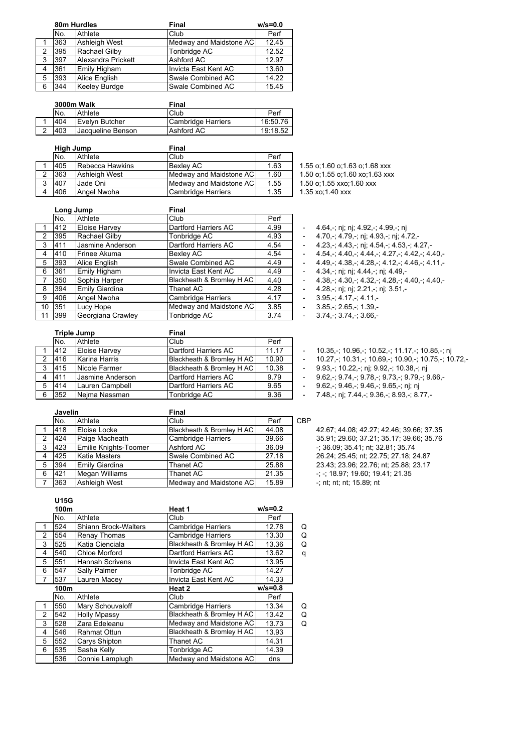|   |     | 80m Hurdles        | Final                   | $w/s = 0.0$ |
|---|-----|--------------------|-------------------------|-------------|
|   | No. | Athlete            | Club                    | Perf        |
|   | 363 | Ashleigh West      | Medway and Maidstone AC | 12.45       |
| 2 | 395 | Rachael Gilby      | Tonbridge AC            | 12.52       |
| 3 | 397 | Alexandra Prickett | Ashford AC              | 12.97       |
| 4 | 361 | Emily Higham       | Invicta East Kent AC    | 13.60       |
| 5 | 393 | Alice English      | Swale Combined AC       | 14.22       |
| 6 | 344 | Keeley Burdge      | Swale Combined AC       | 15.45       |

|   | 3000m Walk |                          | Final              |          |  |
|---|------------|--------------------------|--------------------|----------|--|
|   | No.        | <b>Athlete</b>           | lClub              | Perf     |  |
|   | 404        | IEvelvn Butcher          | Cambridge Harriers | 16:50.76 |  |
| ີ | 403        | <b>Jacqueline Benson</b> | Ashford AC         | 19:18.52 |  |

|   | High Jump |                        | Final                   |      |  |
|---|-----------|------------------------|-------------------------|------|--|
|   | No.       | Athlete                | Club                    | Perf |  |
|   | 405       | <b>Rebecca Hawkins</b> | <b>Bexley AC</b>        | 1.63 |  |
|   | 363       | Ashleigh West          | Medway and Maidstone AC | 1.60 |  |
| 3 | 407       | Jade Oni               | Medway and Maidstone AC | 1.55 |  |
|   | 406       | Angel Nwoha            | Cambridge Harriers      | 1.35 |  |

1.55 o;1.60 o;1.63 o;1.68 xxx 1.50 o;1.55 o;1.60 xo;1.63 xxx

1.50 o:1.55 xxo:1.60 xxx

 $1.35 \times 1.40 \times x$ 

|    |     | Long Jump            | Final                     |      |                          |                                                               |
|----|-----|----------------------|---------------------------|------|--------------------------|---------------------------------------------------------------|
|    | No. | Athlete              | Club                      | Perf |                          |                                                               |
|    | 412 | <b>Eloise Harvey</b> | Dartford Harriers AC      | 4.99 |                          | 4.64,-; nj; nj; 4.92,-; 4.99,-; nj                            |
| 2  | 395 | Rachael Gilby        | Tonbridge AC              | 4.93 | $\overline{\phantom{a}}$ | 4.70, -; 4.79, -; nj; 4.93, -; nj; 4.72, -                    |
| 3  | 411 | Jasmine Anderson     | Dartford Harriers AC      | 4.54 | $\overline{\phantom{0}}$ | 4.23, $-$ ; 4.43, $-$ ; nj; 4.54, $-$ ; 4.53, $-$ ; 4.27, $-$ |
| 4  | 410 | Frinee Akuma         | Bexley AC                 | 4.54 | $\overline{\phantom{a}}$ | $4.54 - 4.40 - 4.44 - 4.27 - 4.42 - 4.40$                     |
| 5  | 393 | Alice English        | Swale Combined AC         | 4.49 |                          | $4.49 - 4.38 - 4.28 - 4.12 - 4.46 - 4.11$                     |
| 6  | 361 | Emily Higham         | Invicta East Kent AC      | 4.49 | $\overline{\phantom{a}}$ | 4.34,-; nj; nj; 4.44,-; nj; 4.49,-                            |
|    | 350 | Sophia Harper        | Blackheath & Bromley H AC | 4.40 | $\overline{\phantom{a}}$ | $4.38 - 4.30 - 4.32 - 4.28 - 4.40 - 4.40$                     |
| 8  | 394 | Emily Giardina       | Thanet AC                 | 4.28 |                          | 4.28,-; nj; nj; 2.21,-; nj; 3.51,-                            |
| 9  | 406 | Angel Nwoha          | <b>Cambridge Harriers</b> | 4.17 |                          | $3.95 - 4.17 - 4.11 -$                                        |
| 10 | 351 | Lucy Hope            | Medway and Maidstone AC   | 3.85 | $\overline{\phantom{0}}$ | $3.85 - 2.65 - 1.39 -$                                        |
| 11 | 399 | Georgiana Crawley    | Tonbridge AC              | 3.74 | $\overline{\phantom{a}}$ | $3.74 - 3.74 - 3.66$                                          |

|   | <b>Triple Jump</b> |                  | <b>Final</b>              |       |  |
|---|--------------------|------------------|---------------------------|-------|--|
|   | No.                | Athlete          | Club                      | Perf  |  |
|   | 412                | Eloise Harvey    | Dartford Harriers AC      | 11.17 |  |
| 2 | 416                | Karina Harris    | Blackheath & Bromley H AC | 10.90 |  |
| 3 | 415                | Nicole Farmer    | Blackheath & Bromley H AC | 10.38 |  |
| 4 | 411                | Jasmine Anderson | Dartford Harriers AC      | 9.79  |  |
| 5 | 414                | Lauren Campbell  | Dartford Harriers AC      | 9.65  |  |
| 6 | 352                | Neima Nassman    | Tonbridge AC              | 9.36  |  |

|   | <b>Javelin</b> |                       | <b>Final</b>              |       |     |
|---|----------------|-----------------------|---------------------------|-------|-----|
|   | No.            | Athlete               | Club                      | Perf  | CBP |
|   | 418            | Eloise Locke          | Blackheath & Bromley H AC | 44.08 |     |
| 2 | 424            | Paige Macheath        | <b>Cambridge Harriers</b> | 39.66 |     |
| 3 | 423            | Emilie Knights-Toomer | Ashford AC                | 36.09 |     |
| 4 | 425            | <b>Katie Masters</b>  | Swale Combined AC         | 27.18 |     |
| 5 | 394            | Emily Giardina        | Thanet AC                 | 25.88 |     |
| 6 | 421            | Megan Williams        | Thanet AC                 | 21.35 |     |
|   | 363            | <b>Ashleigh West</b>  | Medway and Maidstone AC   | 15.89 |     |

42.67; 44.08; 42.27; 42.46; 39.66; 37.35 35.91; 29.60; 37.21; 35.17; 39.66; 35.76  $-$ ; 36.09; 35.41; nt; 32.81; 35.74 26 24; 25 45; nt; 22.75; 27.18; 24.87 23.43; 23.96; 22.76; nt; 25.88; 23.17 -; -; 18.97; 19.60; 19.41; 21.35 -; nt; nt; nt; 15.89; nt

- 10.35,-; 10.96,-; 10.52,-; 11.17,-; 10.85,-; nj  $-10.27$ ,-; 10.31,-; 10.69,-; 10.90,-; 10.75,-; 10.72,-

- 9.93,-; 10.22,-; nj; 9.92,-; 10.38,-; nj  $-$  9.62,-; 9.74,-; 9.78,-; 9.73,-; 9.79,-; 9.66,-- 9.62,-; 9.46,-; 9.46,-; 9.65,-; nj; nj 7 48,-; nj; 7 44,-; 9.36,-; 8.93,-; 8.77,-

## **U15G**

| 100m |                             | Heat 1                    | $w/s = 0.2$ |                         |
|------|-----------------------------|---------------------------|-------------|-------------------------|
| No.  | Athlete                     | Club                      | Perf        |                         |
| 524  | <b>Shiann Brock-Walters</b> | Cambridge Harriers        | 12.78       | Q                       |
| 554  | Renay Thomas                | <b>Cambridge Harriers</b> | 13.30       | Q                       |
| 525  | Katia Cienciala             | Blackheath & Bromley H AC | 13.36       | Q                       |
| 540  | Chloe Morford               | Dartford Harriers AC      | 13.62       | q                       |
| 551  | <b>Hannah Scrivens</b>      | Invicta East Kent AC      | 13.95       |                         |
| 547  | Sally Palmer                | Tonbridge AC              | 14.27       |                         |
| 537  | Lauren Macey                | Invicta East Kent AC      | 14.33       |                         |
| 100m |                             | Heat 2                    | $w/s = 0.8$ |                         |
| No.  | Athlete                     | Club                      | Perf        |                         |
| 550  | Mary Schouvaloff            | <b>Cambridge Harriers</b> | 13.34       | Q                       |
| 542  | <b>Holly Mpassy</b>         | Blackheath & Bromley H AC | 13.42       | Q                       |
| 528  | Zara Edeleanu               |                           | 13.73       | Q                       |
| 546  | <b>Rahmat Ottun</b>         | Blackheath & Bromley H AC | 13.93       |                         |
| 552  | Carys Shipton               | Thanet AC                 | 14.31       |                         |
| 535  | Sasha Kelly                 | Tonbridge AC              | 14.39       |                         |
| 536  | Connie Lamplugh             | Medway and Maidstone AC   | dns         |                         |
|      |                             |                           |             | Medway and Maidstone AC |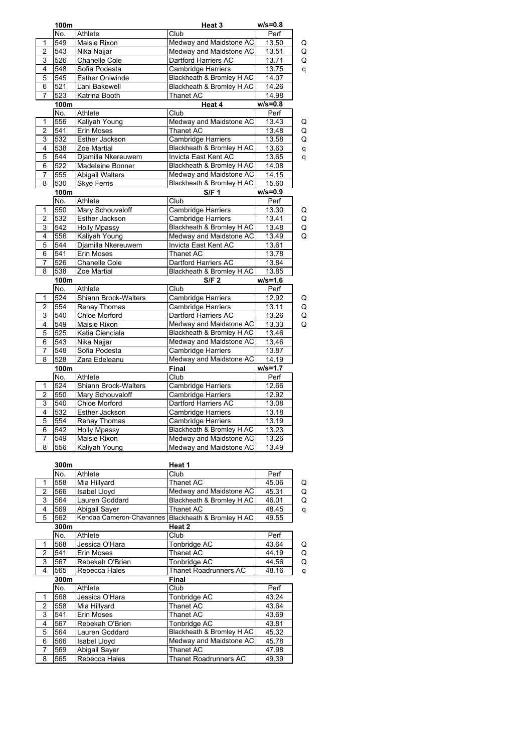|                         | 100m |                          | Heat 3                    | $w/s = 0.8$ |   |
|-------------------------|------|--------------------------|---------------------------|-------------|---|
|                         | No.  | Athlete                  | Club                      | Perf        |   |
| 1                       | 549  | Maisie Rixon             | Medway and Maidstone AC   | 13.50       | Q |
| $\overline{2}$          | 543  | Nika Najjar              | Medway and Maidstone AC   | 13.51       | Q |
| 3                       | 526  | Chanelle Cole            | Dartford Harriers AC      | 13.71       | Q |
| 4                       | 548  | Sofia Podesta            | Cambridge Harriers        | 13.75       | q |
| 5                       | 545  | <b>Esther Oniwinde</b>   | Blackheath & Bromley H AC | 14.07       |   |
| 6                       | 521  | Lani Bakewell            | Blackheath & Bromley H AC | 14.26       |   |
| 7                       | 523  | Katrina Booth            | Thanet AC                 | 14.98       |   |
|                         | 100m |                          | Heat 4                    | $w/s = 0.8$ |   |
|                         | No.  | Athlete                  | Club                      | Perf        |   |
|                         |      |                          |                           |             |   |
| 1                       | 556  | Kaliyah Young            | Medway and Maidstone AC   | 13.43       | Q |
| $\overline{2}$          | 541  | Erin Moses               | Thanet AC                 | 13.48       | Q |
| 3                       | 532  | Esther Jackson           | Cambridge Harriers        | 13.58       | Q |
| 4                       | 538  | Zoe Martial              | Blackheath & Bromley H AC | 13.63       | q |
| 5                       | 544  | Djamilla Nkereuwem       | Invicta East Kent AC      | 13.65       | q |
| 6                       | 522  | Madeleine Bonner         | Blackheath & Bromley H AC | 14.08       |   |
| 7                       | 555  | <b>Abigail Walters</b>   | Medway and Maidstone AC   | 14.15       |   |
| 8                       | 530  | <b>Skye Ferris</b>       | Blackheath & Bromley H AC | 15.60       |   |
|                         | 100m |                          | S/F <sub>1</sub>          | $w/s = 0.9$ |   |
|                         | No.  | Athlete                  | Club                      | Perf        |   |
| 1                       | 550  | Mary Schouvaloff         | Cambridge Harriers        | 13.30       | Q |
| $\overline{c}$          | 532  | Esther Jackson           | Cambridge Harriers        | 13.41       | Q |
| 3                       | 542  | <b>Holly Mpassy</b>      | Blackheath & Bromley H AC | 13.48       | Q |
| 4                       | 556  | Kaliyah Young            | Medway and Maidstone AC   | 13.49       | Q |
| 5                       | 544  | Djamilla Nkereuwem       | Invicta East Kent AC      | 13.61       |   |
|                         |      |                          |                           |             |   |
| 6                       | 541  | Erin Moses               | Thanet AC                 | 13.78       |   |
| 7                       | 526  | <b>Chanelle Cole</b>     | Dartford Harriers AC      | 13.84       |   |
| $\overline{8}$          | 538  | Zoe Martial              | Blackheath & Bromley H AC | 13.85       |   |
|                         | 100m |                          | S/F <sub>2</sub>          | $w/s = 1.6$ |   |
|                         | No.  | Athlete                  | Club                      | Perf        |   |
| 1                       | 524  | Shiann Brock-Walters     | Cambridge Harriers        | 12.92       | Q |
| 2                       | 554  | Renay Thomas             | Cambridge Harriers        | 13.11       | Q |
| 3                       | 540  | Chloe Morford            | Dartford Harriers AC      | 13.26       | Q |
| 4                       | 549  | Maisie Rixon             | Medway and Maidstone AC   | 13.33       | Q |
| 5                       | 525  | Katia Cienciala          | Blackheath & Bromley H AC | 13.46       |   |
| 6                       | 543  | Nika Najjar              | Medway and Maidstone AC   | 13.46       |   |
| 7                       | 548  | Sofia Podesta            | Cambridge Harriers        | 13.87       |   |
| 8                       | 528  | Zara Edeleanu            | Medway and Maidstone AC   | 14.19       |   |
|                         | 100m |                          | Final                     | $w/s = 1.7$ |   |
|                         | No.  | Athlete                  | Club                      | Perf        |   |
|                         |      |                          |                           |             |   |
| 1                       | 524  | Shiann Brock-Walters     | Cambridge Harriers        | 12.66       |   |
| 2                       | 550  | Mary Schouvaloff         | Cambridge Harriers        | 12.92       |   |
| 3                       | 540  | Chloe Morford            | Dartford Harriers AC      | 13.08       |   |
| 4                       | 532  | <b>Esther Jackson</b>    | Cambridge Harriers        | 13.18       |   |
| 5                       | 554  | Renay Thomas             | Cambridge Harriers        | 13.19       |   |
| 6                       | 542  | <b>Holly Mpassy</b>      | Blackheath & Bromley H AC | 13.23       |   |
| 7                       | 549  | Maisie Rixon             | Medway and Maidstone AC   | 13.26       |   |
| 8                       | 556  | Kaliyah Young            | Medway and Maidstone AC   | 13.49       |   |
|                         |      |                          |                           |             |   |
|                         | 300m |                          | Heat 1                    |             |   |
|                         | No.  | Athlete                  | Club                      | Perf        |   |
| 1                       | 558  | Mia Hillyard             | <b>Thanet AC</b>          | 45.06       | Q |
| $\overline{\mathbf{c}}$ | 566  | Isabel Lloyd             | Medway and Maidstone AC   | 45.31       | Q |
| 3                       | 564  | Lauren Goddard           | Blackheath & Bromley H AC | 46.01       | Q |
| 4                       | 569  | Abigail Sayer            | Thanet AC                 | 48.45       |   |
|                         |      | Kendaa Cameron-Chavannes |                           |             | q |
| 5                       | 562  |                          | Blackheath & Bromley H AC | 49.55       |   |
|                         | 300m |                          | Heat 2                    |             |   |
|                         | No.  | Athlete                  | Club                      | Perf        |   |
| 1                       | 568  | Jessica O'Hara           | Tonbridge AC              | 43.64       | Q |
| $\overline{2}$          | 541  | Erin Moses               | Thanet AC                 | 44.19       | Q |
| 3                       | 567  | Rebekah O'Brien          | Tonbridge AC              | 44.56       | Q |
| 4                       | 565  | Rebecca Hales            | Thanet Roadrunners AC     | 48.16       | q |
|                         | 300m |                          | Final                     |             |   |
|                         | No.  | Athlete                  | Club                      | Perf        |   |
| 1                       | 568  | Jessica O'Hara           | Tonbridge AC              | 43.24       |   |
| $\overline{2}$          | 558  | Mia Hillyard             | Thanet AC                 | 43.64       |   |
| 3                       | 541  | Erin Moses               | Thanet AC                 | 43.69       |   |
| 4                       | 567  | Rebekah O'Brien          | <b>Tonbridge AC</b>       | 43.81       |   |
|                         |      |                          |                           |             |   |
| 5                       | 564  | Lauren Goddard           | Blackheath & Bromley H AC | 45.32       |   |
| 6                       | 566  | Isabel Lloyd             | Medway and Maidstone AC   | 45.78       |   |
| 7                       | 569  | Abigail Sayer            | Thanet AC                 | 47.98       |   |
| 8                       | 565  | Rebecca Hales            | Thanet Roadrunners AC     | 49.39       |   |